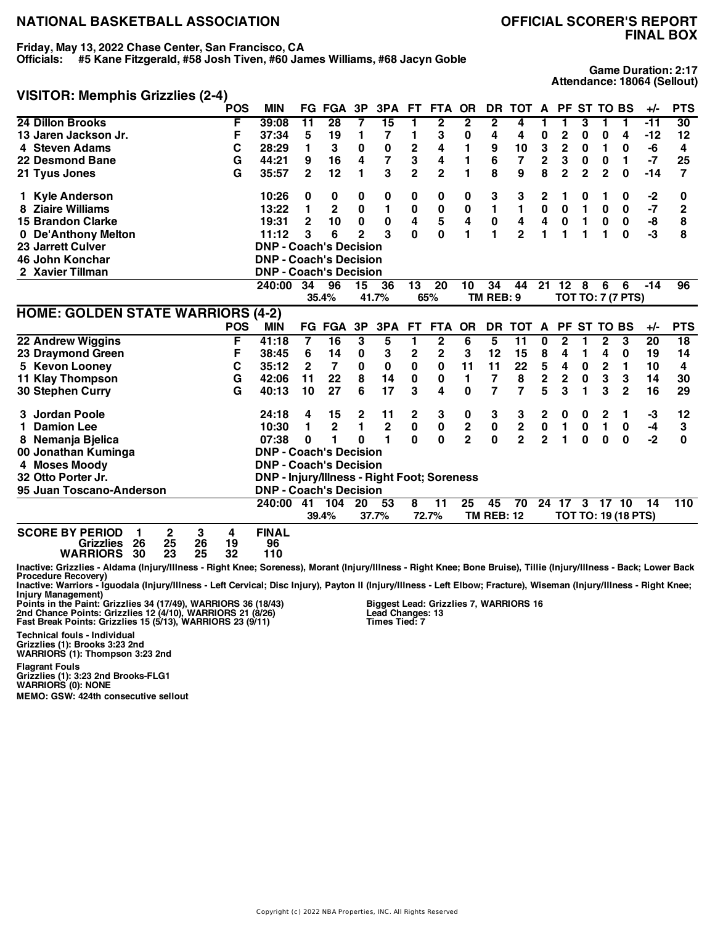# **FINAL BOX**

**Friday, May 13, 2022 Chase Center, San Francisco, CA**

**Officials: #5 Kane Fitzgerald, #58 Josh Tiven, #60 James Williams, #68 Jacyn Goble**

**Game Duration: 2:17 Attendance: 18064 (Sellout)**

#### **VISITOR: Memphis Grizzlies (2-4)**

|                                                                                                                                                                    | <b>POS</b>                     | <b>MIN</b>                                         |                 | <b>FG FGA</b>  | 3P             | 3PA             | FT.            | <b>FTA</b>      | <b>OR</b>               | <b>DR</b>         | <b>TOT</b>      | A              | <b>PF</b>      |                | <b>ST TO BS</b>         |                            | $+/-$           | <b>PTS</b>      |
|--------------------------------------------------------------------------------------------------------------------------------------------------------------------|--------------------------------|----------------------------------------------------|-----------------|----------------|----------------|-----------------|----------------|-----------------|-------------------------|-------------------|-----------------|----------------|----------------|----------------|-------------------------|----------------------------|-----------------|-----------------|
| 24 Dillon Brooks                                                                                                                                                   | F                              | 39:08                                              | 11              | 28             | 7              | $\overline{15}$ | 1              | $\overline{2}$  | $\mathbf{2}$            | 2                 | 4               | 1              | 1              | 3              | 1                       | 1                          | -11             | 30              |
| 13 Jaren Jackson Jr.                                                                                                                                               | F                              | 37:34                                              | 5               | 19             | 1              | 7               | 1              | 3               | 0                       | 4                 | 4               | 0              | $\overline{c}$ | 0              | 0                       | 4                          | $-12$           | 12              |
| 4 Steven Adams                                                                                                                                                     | C                              | 28:29                                              | 1               | 3              | 0              | 0               | $\mathbf 2$    | 4               | 1                       | 9                 | 10              | 3              | $\mathbf 2$    | 0              | 1                       | 0                          | -6              | 4               |
| 22 Desmond Bane                                                                                                                                                    | G                              | 44:21                                              | 9               | 16             | 4              | 7               | 3              | 4               | 1                       | 6                 | 7               | $\overline{2}$ | 3              | 0              | 0                       | 1                          | $-7$            | 25              |
| 21 Tyus Jones                                                                                                                                                      | G                              | 35:57                                              | $\mathbf{2}$    | 12             | 1              | 3               | $\overline{2}$ | $\overline{2}$  | 1                       | 8                 | 9               | 8              | $\overline{2}$ | $\overline{2}$ | $\overline{2}$          | $\bf{0}$                   | $-14$           | $\overline{7}$  |
| 1 Kyle Anderson                                                                                                                                                    |                                | 10:26                                              | 0               | 0              | 0              | 0               | 0              | 0               | 0                       | 3                 | 3               | $\mathbf{2}$   | 1              | 0              | 1                       | 0                          | $-2$            | 0               |
| <b>Ziaire Williams</b>                                                                                                                                             |                                | 13:22                                              | 1               | $\mathbf 2$    | $\bf{0}$       | $\mathbf{1}$    | 0              | $\bf{0}$        | 0                       | 1                 | 1               | 0              | 0              | 1              | $\bf{0}$                | 0                          | $-7$            | $\mathbf{2}$    |
| <b>15 Brandon Clarke</b>                                                                                                                                           |                                | 19:31                                              | $\mathbf{2}$    | 10             | $\mathbf 0$    | $\pmb{0}$       | 4              | 5               | $\overline{\mathbf{4}}$ | 0                 | 4               | 4              | $\pmb{0}$      | $\mathbf{1}$   | $\bf{0}$                | 0                          | -8              | 8               |
| 0 De'Anthony Melton                                                                                                                                                |                                | 11:12                                              | 3               | 6              | $\overline{2}$ | 3               | $\mathbf{0}$   | $\bf{0}$        | 1                       | 1                 | $\overline{2}$  | 1              | 1              | 1              | 1                       | $\bf{0}$                   | $-3$            | 8               |
| <b>23 Jarrett Culver</b>                                                                                                                                           |                                | <b>DNP - Coach's Decision</b>                      |                 |                |                |                 |                |                 |                         |                   |                 |                |                |                |                         |                            |                 |                 |
| 46 John Konchar                                                                                                                                                    |                                | <b>DNP - Coach's Decision</b>                      |                 |                |                |                 |                |                 |                         |                   |                 |                |                |                |                         |                            |                 |                 |
| 2 Xavier Tillman                                                                                                                                                   |                                | <b>DNP - Coach's Decision</b>                      |                 |                |                |                 |                |                 |                         |                   |                 |                |                |                |                         |                            |                 |                 |
|                                                                                                                                                                    |                                | 240:00                                             | 34              | 96             | 15             | 36              | 13             | 20              | 10                      | 34                | 44              |                | 21 12          | 8              | 6                       | 6                          | $-14$           | 96              |
|                                                                                                                                                                    |                                |                                                    |                 | 35.4%          |                | 41.7%           |                | 65%             |                         | TM REB: 9         |                 |                |                |                |                         | <b>TOT TO: 7 (7 PTS)</b>   |                 |                 |
| <b>HOME: GOLDEN STATE WARRIORS (4-2)</b>                                                                                                                           |                                |                                                    |                 |                |                |                 |                |                 |                         |                   |                 |                |                |                |                         |                            |                 |                 |
|                                                                                                                                                                    | <b>POS</b>                     | <b>MIN</b>                                         |                 | <b>FG FGA</b>  | 3P             | 3PA             | <b>FT</b>      | <b>FTA</b>      | <b>OR</b>               |                   | DR TOT          | A              |                |                | PF ST TO BS             |                            | $+/-$           | <b>PTS</b>      |
| 22 Andrew Wiggins                                                                                                                                                  | F                              | 41:18                                              | 7               | 16             | 3              | 5               | 1              | $\overline{2}$  | $6\overline{6}$         | 5                 | 11              | 0              | $\overline{2}$ | 1              | $\overline{2}$          | 3                          | $\overline{20}$ | $\overline{18}$ |
| 23 Draymond Green                                                                                                                                                  | F                              | 38:45                                              | 6               | 14             | 0              | 3               | $\mathbf 2$    | $\mathbf 2$     | 3                       | 12                | 15              | 8              | 4              | 1              | 4                       | 0                          | 19              | 14              |
| 5 Kevon Looney                                                                                                                                                     | C                              | 35:12                                              | $\mathbf{2}$    | 7              | 0              | 0               | $\pmb{0}$      | 0               | 11                      | 11                | 22              | 5              | 4              | 0              | $\overline{\mathbf{c}}$ | 1                          | 10              | 4               |
| 11 Klay Thompson                                                                                                                                                   | G                              | 42:06                                              | 11              | 22             | 8              | 14              | 0              | 0               | 1                       | 7                 | 8               | $\mathbf 2$    | $\mathbf 2$    | 0              | 3                       | 3                          | 14              | 30              |
| 30 Stephen Curry                                                                                                                                                   | G                              | 40:13                                              | 10              | 27             | 6              | 17              | 3              | 4               | $\bf{0}$                | 7                 | 7               | 5              | 3              | 1              | 3                       | $\overline{2}$             | 16              | 29              |
| 3 Jordan Poole                                                                                                                                                     |                                | 24:18                                              | 4               | 15             | 2              | 11              | 2              | 3               | 0                       | 3                 | 3               | 2              | 0              | 0              | 2                       | 1                          | -3              | 12              |
| <b>Damion Lee</b><br>1.                                                                                                                                            |                                | 10:30                                              | 1               | $\overline{2}$ | 1              | $\mathbf 2$     | 0              | 0               | $\mathbf 2$             | $\pmb{0}$         | $\mathbf 2$     | $\pmb{0}$      | 1              | $\bf{0}$       | 1                       | 0                          | -4              | 3               |
| 8 Nemanja Bjelica                                                                                                                                                  |                                | 07:38                                              | $\bf{0}$        | 1              | O              | 1               | 0              | $\bf{0}$        | $\overline{2}$          | $\mathbf{0}$      | $\overline{2}$  | $\overline{2}$ | 1              | $\bf{0}$       | $\bf{0}$                | $\bf{0}$                   | $-2$            | $\bf{0}$        |
| 00 Jonathan Kuminga                                                                                                                                                |                                | <b>DNP - Coach's Decision</b>                      |                 |                |                |                 |                |                 |                         |                   |                 |                |                |                |                         |                            |                 |                 |
| 4 Moses Moody                                                                                                                                                      |                                | <b>DNP - Coach's Decision</b>                      |                 |                |                |                 |                |                 |                         |                   |                 |                |                |                |                         |                            |                 |                 |
| 32 Otto Porter Jr.                                                                                                                                                 |                                | <b>DNP - Injury/Illness - Right Foot; Soreness</b> |                 |                |                |                 |                |                 |                         |                   |                 |                |                |                |                         |                            |                 |                 |
| 95 Juan Toscano-Anderson                                                                                                                                           |                                | <b>DNP - Coach's Decision</b>                      |                 |                |                |                 |                |                 |                         |                   |                 |                |                |                |                         |                            |                 |                 |
|                                                                                                                                                                    |                                | 240:00                                             | $\overline{41}$ | 104            | 20             | 53              | 8              | $\overline{11}$ | 25                      | 45                | $\overline{70}$ | 24             | 17             | 3              | 1710                    |                            | 14              | 110             |
|                                                                                                                                                                    |                                |                                                    |                 | 39.4%          |                | 37.7%           |                | 72.7%           |                         | <b>TM REB: 12</b> |                 |                |                |                |                         | <b>TOT TO: 19 (18 PTS)</b> |                 |                 |
| <b>SCORE BY PERIOD</b><br>2<br>1<br>25<br><b>Grizzlies</b><br>26<br><b>WARRIORS</b><br>30<br>23                                                                    | 3<br>4<br>26<br>19<br>25<br>32 | <b>FINAL</b><br>96<br>110                          |                 |                |                |                 |                |                 |                         |                   |                 |                |                |                |                         |                            |                 |                 |
| Inactive: Grizzlies - Aldama (Injury/Illness - Right Knee; Soreness), Morant (Injury/Illness - Right Knee; Bone Bruise), Tillie (Injury/Illness - Back; Lower Back |                                |                                                    |                 |                |                |                 |                |                 |                         |                   |                 |                |                |                |                         |                            |                 |                 |

Inactive: Grizzlies - Aldama (Injury/Illness - Right Knee; Soreness), Morant (Injury/Illness - Right Knee; Bone Bruise), Tillie (Injury/Illness - Back; Lower Back<br>Procedure Recovery)<br>Inactive: Warriors - Iguodala (Injury/I

Injury Management)<br>Points in the Paint: Grizzlies 34 (17/49), WARRIORS 36 (18/43)<br>2nd Chance Points: Grizzlies 12 (4/10), WARRIORS 21 (8/26)<br>Fast Break Points: Grizzlies 15 (5/13), WARRIORS 23 (9/11)

**Biggest Lead: Grizzlies 7, WARRIORS 16 Lead Changes: 13 Times Tied: 7**

**Grizzlies (1): Brooks 3:23 2nd WARRIORS (1): Thompson 3:23 2nd Flagrant Fouls Grizzlies (1): 3:23 2nd Brooks-FLG1 WARRIORS (0): NONE**

**Technical fouls - Individual**

**MEMO: GSW: 424th consecutive sellout**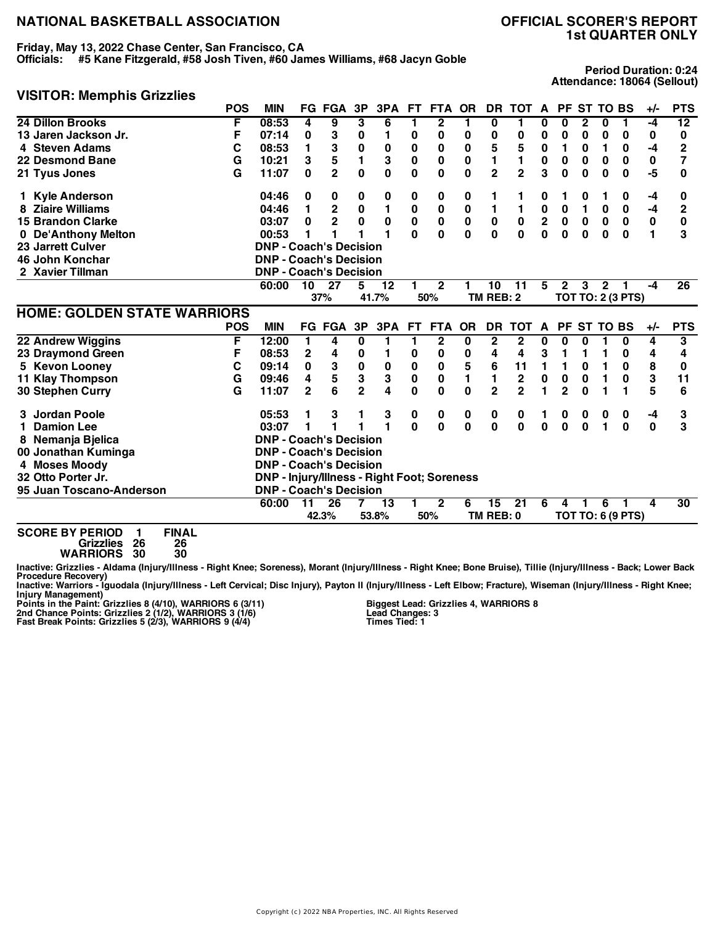### **Friday, May 13, 2022 Chase Center, San Francisco, CA**

**Officials: #5 Kane Fitzgerald, #58 Josh Tiven, #60 James Williams, #68 Jacyn Goble**

## **1st QUARTER ONLY**

**Period Duration: 0:24 Attendance: 18064 (Sellout)**

#### **VISITOR: Memphis Grizzlies**

|                                    | <b>POS</b> | <b>MIN</b>                                         |                | <b>FG FGA</b>  | 3P             | 3PA          | FT.          | FTA          | <b>OR</b>    | DR.            | тот            | $\mathbf{A}$ |                |          | PF ST TO BS  |                          | $+/-$          | <b>PTS</b>      |
|------------------------------------|------------|----------------------------------------------------|----------------|----------------|----------------|--------------|--------------|--------------|--------------|----------------|----------------|--------------|----------------|----------|--------------|--------------------------|----------------|-----------------|
| 24 Dillon Brooks                   | F          | 08:53                                              | 4              | 9              | 3              | 6            | 1.           | $\mathbf 2$  |              | 0              | 1              | 0            | U              | 2        | 0            |                          | -4             | 12              |
| 13 Jaren Jackson Jr.               | F          | 07:14                                              | 0              | 3              | 0              | 1            | 0            | 0            | 0            | 0              | 0              | 0            | 0              | 0        | 0            | 0                        | 0              | 0               |
| 4 Steven Adams                     | C          | 08:53                                              | 1              | 3              | 0              | 0            | 0            | 0            | 0            | 5              | 5              | 0            | 1              | 0        | 1            | 0                        | -4             | $\overline{2}$  |
| 22 Desmond Bane                    | G          | 10:21                                              | 3              | 5              | 1              | 3            | $\bf{0}$     | 0            | $\pmb{0}$    | 1              | 1              | 0            | 0              | 0        | 0            | 0                        | 0              | 7               |
| 21 Tyus Jones                      | G          | 11:07                                              | 0              | $\overline{2}$ | $\mathbf{0}$   | $\bf{0}$     | 0            | 0            | $\bf{0}$     | $\overline{2}$ | $\overline{2}$ | 3            | 0              | $\bf{0}$ | 0            | 0                        | -5             | 0               |
| <b>Kyle Anderson</b>               |            | 04:46                                              | 0              | 0              | 0              | 0            | 0            | 0            | 0            | 1              |                | 0            | 1              | 0        |              | 0                        | -4             | 0               |
| <b>Ziaire Williams</b>             |            | 04:46                                              | 1              | $\mathbf 2$    | $\pmb{0}$      | $\mathbf{1}$ | 0            | $\bf{0}$     | $\pmb{0}$    | 1              | $\mathbf{1}$   | $\pmb{0}$    | $\pmb{0}$      | 1        | $\bf{0}$     | 0                        | $-4$           | $\mathbf{2}$    |
| <b>15 Brandon Clarke</b>           |            | 03:07                                              | 0              | $\overline{2}$ | $\bf{0}$       | $\bf{0}$     | $\pmb{0}$    | $\pmb{0}$    | $\pmb{0}$    | $\pmb{0}$      | $\pmb{0}$      | $\mathbf 2$  | $\pmb{0}$      | $\bf{0}$ | $\bf{0}$     | $\mathbf 0$              | $\pmb{0}$      | 0               |
| 0 De'Anthony Melton                |            | 00:53                                              |                |                |                | 1            | $\mathbf{0}$ | 0            | $\mathbf{0}$ | $\mathbf{0}$   | $\bf{0}$       | 0            | $\bf{0}$       | $\bf{0}$ | $\bf{0}$     | $\bf{0}$                 | $\blacksquare$ | 3               |
| 23 Jarrett Culver                  |            | <b>DNP - Coach's Decision</b>                      |                |                |                |              |              |              |              |                |                |              |                |          |              |                          |                |                 |
| 46 John Konchar                    |            | <b>DNP - Coach's Decision</b>                      |                |                |                |              |              |              |              |                |                |              |                |          |              |                          |                |                 |
| 2 Xavier Tillman                   |            | <b>DNP - Coach's Decision</b>                      |                |                |                |              |              |              |              |                |                |              |                |          |              |                          |                |                 |
|                                    |            | 60:00                                              | 10             | 27             | 5              | $12 \,$      | 1.           | $\mathbf{2}$ |              | 10             | -11            | 5            | $\mathbf{2}$   | 3        | $\mathbf{2}$ |                          | -4             | $\overline{26}$ |
|                                    |            |                                                    |                | 37%            |                | 41.7%        |              | 50%          |              | TM REB: 2      |                |              |                |          |              | <b>TOT TO: 2 (3 PTS)</b> |                |                 |
| <b>HOME: GOLDEN STATE WARRIORS</b> |            |                                                    |                |                |                |              |              |              |              |                |                |              |                |          |              |                          |                |                 |
|                                    | <b>POS</b> | <b>MIN</b>                                         |                | FG FGA         | 3P             | 3PA          | <b>FT</b>    | <b>FTA</b>   | <b>OR</b>    | <b>DR</b>      | <b>TOT</b>     | A            | <b>PF</b>      |          | ST TO BS     |                          | +/-            | <b>PTS</b>      |
| 22 Andrew Wiggins                  | F          | 12:00                                              | 1              | 4              | $\bf{0}$       | 1            | 1            | $\mathbf{2}$ | 0            | $\mathbf{2}$   | $\mathbf{2}$   | 0            | 0              | 0        |              | 0                        | 4              | 3               |
| 23 Draymond Green                  | F          | 08:53                                              | $\overline{2}$ | 4              | 0              |              | 0            | 0            | 0            | 4              | 4              | 3            | 1              | 1        |              | 0                        | 4              | 4               |
| 5 Kevon Looney                     | С          | 09:14                                              | 0              | 3              | $\pmb{0}$      | 0            | $\bf{0}$     | 0            | 5            | 6              | 11             | 1            | 1              | 0        | 1            | $\bf{0}$                 | 8              | 0               |
| <b>11 Klay Thompson</b>            | G          | 09:46                                              | 4              | 5              | 3              | 3            | 0            | $\bf{0}$     | 1            | 1              | $\mathbf 2$    | 0            | $\mathbf 0$    | $\bf{0}$ | 1            | 0                        | 3              | 11              |
| 30 Stephen Curry                   | G          | 11:07                                              | $\overline{2}$ | 6              | $\overline{2}$ | 4            | 0            | 0            | $\bf{0}$     | $\overline{2}$ | $\overline{2}$ | 1            | $\overline{2}$ | $\bf{0}$ |              | 1                        | 5              | 6               |
| Jordan Poole                       |            | 05:53                                              |                | 3              |                | 3            | 0            | 0            | 0            | 0              | 0              |              | 0              | 0        | 0            | 0                        | $-4$           | 3               |
| <b>Damion Lee</b>                  |            | 03:07                                              |                |                |                |              | 0            | 0            | $\mathbf 0$  | 0              | 0              | 0            | 0              | 0        | 1            | 0                        | 0              | 3               |
| 8 Nemanja Bjelica                  |            | <b>DNP - Coach's Decision</b>                      |                |                |                |              |              |              |              |                |                |              |                |          |              |                          |                |                 |
| 00 Jonathan Kuminga                |            | <b>DNP - Coach's Decision</b>                      |                |                |                |              |              |              |              |                |                |              |                |          |              |                          |                |                 |
| 4 Moses Moody                      |            | <b>DNP - Coach's Decision</b>                      |                |                |                |              |              |              |              |                |                |              |                |          |              |                          |                |                 |
| 32 Otto Porter Jr.                 |            | <b>DNP - Injury/Illness - Right Foot; Soreness</b> |                |                |                |              |              |              |              |                |                |              |                |          |              |                          |                |                 |
|                                    |            |                                                    |                |                |                |              |              |              |              |                |                |              |                |          |              |                          |                |                 |
| 95 Juan Toscano-Anderson           |            | <b>DNP - Coach's Decision</b>                      |                |                |                |              |              |              |              |                |                |              |                |          |              |                          |                |                 |
|                                    |            | 60:00                                              | 11             | 26             | $\overline{7}$ | 13           | 1            | $\mathbf{2}$ | 6            | 15             | 21             | 6            | 4              | 1        | 6            |                          | 4              | 30              |
|                                    |            |                                                    |                | 42.3%          |                | 53.8%        |              | 50%          |              | TM REB: 0      |                |              |                |          |              | <b>TOT TO: 6 (9 PTS)</b> |                |                 |

**Grizzlies 26 26**

**WARRIORS 30 30**

Inactive: Grizzlies - Aldama (Injury/Illness - Right Knee; Soreness), Morant (Injury/Illness - Right Knee; Bone Bruise), Tillie (Injury/Illness - Back; Lower Back Procedure Recovery)<br>Inactive: Warriors - Iguodala (Injury/Illness - Left Cervical; Disc Injury), Payton II (Injury/Illness - Left Elbow; Fracture), Wiseman (Injury/Illness - Right Knee;

Injury Management)<br>Points in the Paint: Grizzlies 8 (4/10), WARRIORS 6 (3/11)<br>2nd Chance Points: Grizzlies 2 (1/2), WARRIORS 3 (1/6)<br>Fast Break Points: Grizzlies 5 (2/3), WARRIORS 9 (4/4)

**Biggest Lead: Grizzlies 4, WARRIORS 8 Lead Changes: 3 Times Tied: 1**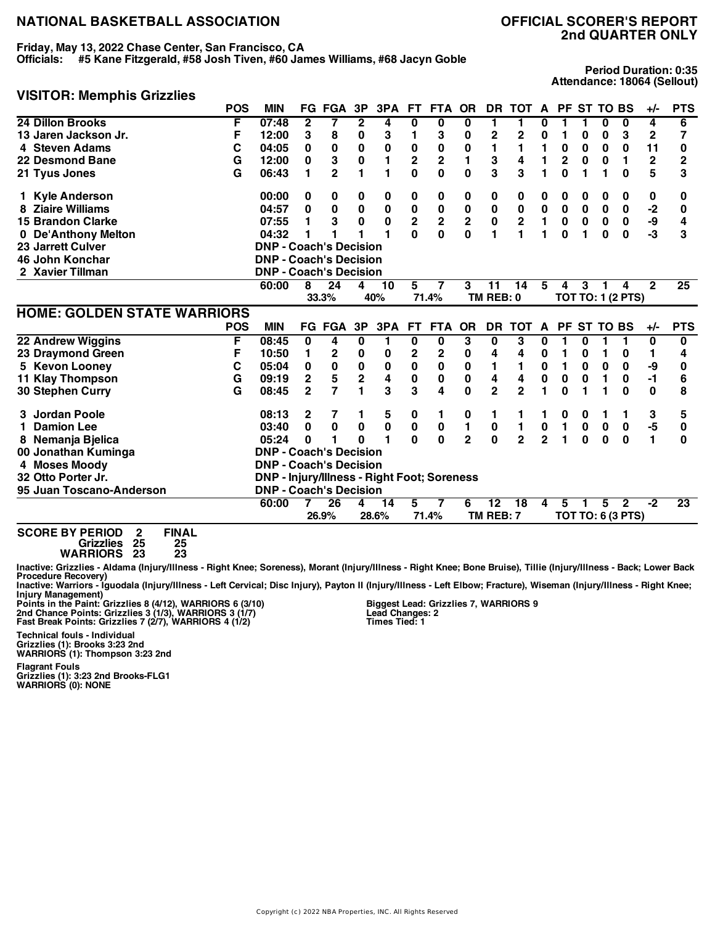**Friday, May 13, 2022 Chase Center, San Francisco, CA**

**Officials: #5 Kane Fitzgerald, #58 Josh Tiven, #60 James Williams, #68 Jacyn Goble**

## **2nd QUARTER ONLY**

**Period Duration: 0:35 Attendance: 18064 (Sellout)**

#### **VISITOR: Memphis Grizzlies**

|                                    | <b>POS</b> | <b>MIN</b>                                         | FG.            | FGA            | 3P                      | 3PA         | FT.                     | <b>FTA</b>              | <b>OR</b>               | DR.             | <b>TOT</b>     | A              |                | <b>PF ST</b> | <b>TO BS</b>    |                          | $+/-$          | <b>PTS</b>      |
|------------------------------------|------------|----------------------------------------------------|----------------|----------------|-------------------------|-------------|-------------------------|-------------------------|-------------------------|-----------------|----------------|----------------|----------------|--------------|-----------------|--------------------------|----------------|-----------------|
| 24 Dillon Brooks                   | F          | 07:48                                              | 2              | 7              | 2                       | 4           | 0                       | 0                       | 0                       | 1               | 1              | U              |                |              | 0               | 0                        | 4              | 6               |
| 13 Jaren Jackson Jr.               | F          | 12:00                                              | 3              | 8              | 0                       | 3           | 1                       | 3                       | 0                       | 2               | 2              | 0              | 1              | 0            | 0               | 3                        | $\mathbf{2}$   | 7               |
| 4 Steven Adams                     | С          | 04:05                                              | 0              | 0              | 0                       | 0           | $\bf{0}$                | 0                       | 0                       | 1               | 1              | 1              | 0              | 0            | 0               | 0                        | 11             | 0               |
| 22 Desmond Bane                    | G          | 12:00                                              | 0              | 3              | 0                       | 1           | $\overline{\mathbf{c}}$ | $\overline{\mathbf{c}}$ | 1                       | 3               | 4              | 1              | $\mathbf 2$    | 0            | 0               | 1                        | $\mathbf 2$    | 2               |
| 21 Tyus Jones                      | G          | 06:43                                              | 1              | $\mathbf{2}$   | 1                       | 1           | 0                       | 0                       | 0                       | 3               | 3              |                | $\bf{0}$       | 1            | 1               | $\bf{0}$                 | 5              | 3               |
| <b>Kyle Anderson</b>               |            | 00:00                                              | 0              | 0              | 0                       | 0           | 0                       | 0                       | 0                       | 0               | 0              | 0              | 0              | 0            | 0               | 0                        | 0              | 0               |
| <b>Ziaire Williams</b>             |            | 04:57                                              | $\bf{0}$       | $\bf{0}$       | $\pmb{0}$               | $\pmb{0}$   | $\pmb{0}$               | $\pmb{0}$               | $\pmb{0}$               | $\pmb{0}$       | $\pmb{0}$      | $\pmb{0}$      | $\pmb{0}$      | $\bf{0}$     | $\bf{0}$        | $\mathbf 0$              | $-2$           | 0               |
| <b>15 Brandon Clarke</b>           |            | 07:55                                              | 1              | 3              | $\bf{0}$                | $\mathbf 0$ | $\overline{\mathbf{2}}$ | $\overline{\mathbf{2}}$ | $\overline{\mathbf{c}}$ | $\mathbf 0$     | $\mathbf 2$    | 1              | 0              | $\bf{0}$     | $\bf{0}$        | 0                        | -9             | 4               |
| 0 De'Anthony Melton                |            | 04:32                                              |                |                |                         |             | $\mathbf{0}$            | $\mathbf 0$             | $\mathbf{0}$            | 1               | 1              | 1              | $\bf{0}$       | 1            | $\bf{0}$        | $\bf{0}$                 | -3             | 3               |
| 23 Jarrett Culver                  |            | <b>DNP - Coach's Decision</b>                      |                |                |                         |             |                         |                         |                         |                 |                |                |                |              |                 |                          |                |                 |
| 46 John Konchar                    |            | <b>DNP - Coach's Decision</b>                      |                |                |                         |             |                         |                         |                         |                 |                |                |                |              |                 |                          |                |                 |
| 2 Xavier Tillman                   |            | <b>DNP - Coach's Decision</b>                      |                |                |                         |             |                         |                         |                         |                 |                |                |                |              |                 |                          |                |                 |
|                                    |            | 60:00                                              | 8              | 24             | 4                       | 10          | 5                       | 7                       | 3                       | 11              | 14             | 5              | 4              | 3            | 1               | 4                        | $\overline{2}$ | $\overline{25}$ |
|                                    |            |                                                    |                | 33.3%          |                         | 40%         |                         | 71.4%                   |                         | TM REB: 0       |                |                |                |              |                 | <b>TOT TO: 1 (2 PTS)</b> |                |                 |
| <b>HOME: GOLDEN STATE WARRIORS</b> |            |                                                    |                |                |                         |             |                         |                         |                         |                 |                |                |                |              |                 |                          |                |                 |
|                                    |            |                                                    |                |                |                         |             |                         |                         |                         |                 |                |                |                |              |                 |                          |                |                 |
|                                    | <b>POS</b> | <b>MIN</b>                                         |                | FG FGA         | 3P                      | 3PA         | <b>FT</b>               | <b>FTA</b>              | <b>OR</b>               | DR              | <b>TOT</b>     | $\mathsf{A}$   | PF             |              | <b>ST TO BS</b> |                          | +/-            | <b>PTS</b>      |
| 22 Andrew Wiggins                  | F          | 08:45                                              | 0              | 4              | 0                       | 1           | 0                       | 0                       | 3                       | 0               | 3              | 0              |                | 0            |                 |                          | 0              | 0               |
| 23 Draymond Green                  | F          | 10:50                                              | 1              | 2              | 0                       | 0           | 2                       | 2                       | 0                       | 4               | 4              | 0              | 1              | 0            |                 | 0                        | 1              | 4               |
| 5 Kevon Looney                     | С          | 05:04                                              | 0              | $\bf{0}$       | $\pmb{0}$               | 0           | $\mathbf 0$             | $\bf{0}$                | $\mathbf 0$             | 1               | 1              | 0              | $\blacksquare$ | 0            | 0               | $\bf{0}$                 | -9             | 0               |
| <b>11 Klay Thompson</b>            | G          | 09:19                                              | $\overline{2}$ | 5              | $\overline{\mathbf{2}}$ | 4           | $\mathbf 0$             | 0                       | $\bf{0}$                | 4               | 4              | 0              | 0              | 0            | 1               | $\bf{0}$                 | $-1$           | 6               |
| <b>30 Stephen Curry</b>            | G          | 08:45                                              | $\overline{2}$ | $\overline{7}$ | 1                       | 3           | 3                       | 4                       | $\bf{0}$                | $\overline{2}$  | $\overline{2}$ | 1.             | $\bf{0}$       | 1            |                 | O                        | $\bf{0}$       | 8               |
| 3 Jordan Poole                     |            | 08:13                                              | 2              | 7              |                         | 5           | 0                       | 1                       | 0                       | 1               |                |                | 0              | 0            | 1               |                          | 3              | 5               |
| <b>Damion Lee</b>                  |            | 03:40                                              | 0              | $\bf{0}$       | 0                       | $\pmb{0}$   | $\pmb{0}$               | 0                       | 1                       | 0               | 1              | $\pmb{0}$      | 1              | 0            | 0               | 0                        | $-5$           | 0               |
| 8 Nemanja Bjelica                  |            | 05:24                                              | 0              |                | ŋ                       |             | O                       | $\bf{0}$                | $\overline{2}$          | $\mathbf 0$     | $\overline{2}$ | $\overline{2}$ | 1              | $\bf{0}$     | 0               | $\bf{0}$                 | 1              | 0               |
| 00 Jonathan Kuminga                |            | <b>DNP - Coach's Decision</b>                      |                |                |                         |             |                         |                         |                         |                 |                |                |                |              |                 |                          |                |                 |
| 4 Moses Moody                      |            | <b>DNP - Coach's Decision</b>                      |                |                |                         |             |                         |                         |                         |                 |                |                |                |              |                 |                          |                |                 |
| 32 Otto Porter Jr.                 |            | <b>DNP - Injury/Illness - Right Foot; Soreness</b> |                |                |                         |             |                         |                         |                         |                 |                |                |                |              |                 |                          |                |                 |
| 95 Juan Toscano-Anderson           |            | <b>DNP - Coach's Decision</b>                      |                |                |                         |             |                         |                         |                         |                 |                |                |                |              |                 |                          |                |                 |
|                                    |            | 60:00                                              | 7              | 26             | 4                       | 14          | 5                       | 7                       | 6                       | $\overline{12}$ | 18             | 4              | 5              | 1            | 5               | $\mathbf{2}$             | $-2$           | $\overline{23}$ |
|                                    |            |                                                    |                | 26.9%          |                         | 28.6%       |                         | 71.4%                   |                         | TM REB: 7       |                |                |                |              |                 | <b>TOT TO: 6 (3 PTS)</b> |                |                 |

**Grizzlies 25 25**

**WARRIORS 23 23**

Inactive: Grizzlies - Aldama (Injury/Illness - Right Knee; Soreness), Morant (Injury/Illness - Right Knee; Bone Bruise), Tillie (Injury/Illness - Back; Lower Back

Procedure Recovery)<br>Inactive: Warriors - Iguodala (Injury/Illness - Left Cervical; Disc Injury), Payton II (Injury/Illness - Left Elbow; Fracture), Wiseman (Injury/Illness - Right Knee;

Injury Management)<br>Points in the Paint: Grizzlies 8 (4/12), WARRIORS 6 (3/10)<br>2nd Chance Points: Grizzlies 3 (1/3), WARRIORS 3 (1/7)<br>Fast Break Points: Grizzlies 7 (2/7), WARRIORS 4 (1/2)

**Technical fouls - Individual**

**Grizzlies (1): Brooks 3:23 2nd WARRIORS (1): Thompson 3:23 2nd**

**Flagrant Fouls Grizzlies (1): 3:23 2nd Brooks-FLG1 WARRIORS (0): NONE**

**Biggest Lead: Grizzlies 7, WARRIORS 9 Lead Changes: 2 Times Tied: 1**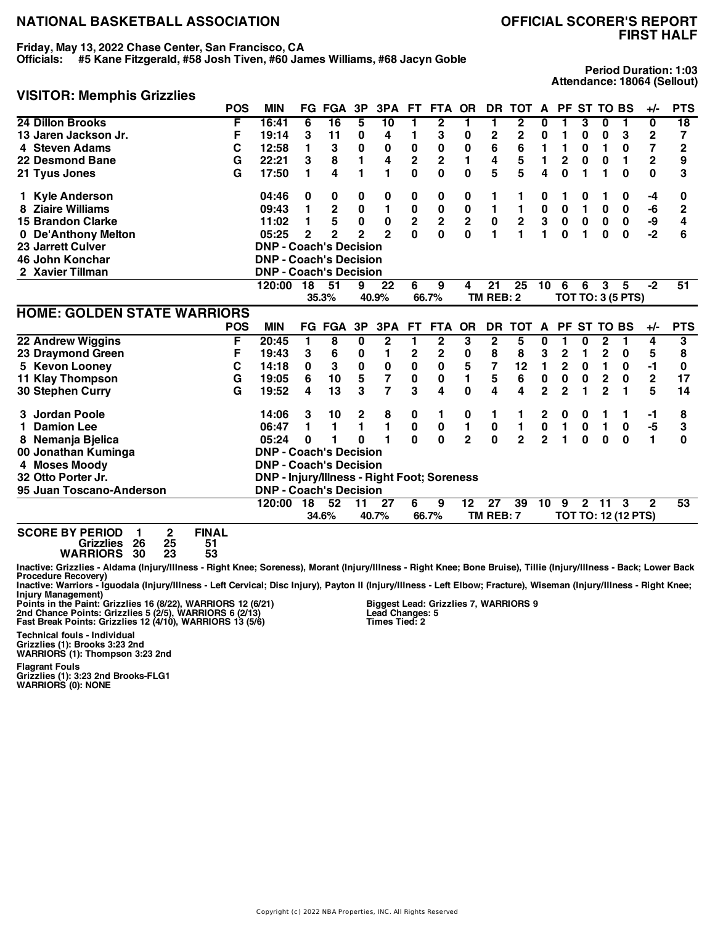### **Friday, May 13, 2022 Chase Center, San Francisco, CA**

**Officials: #5 Kane Fitzgerald, #58 Josh Tiven, #60 James Williams, #68 Jacyn Goble**

### **FIRST HALF**

**Period Duration: 1:03 Attendance: 18064 (Sellout)**

#### **VISITOR: Memphis Grizzlies**

|                                                                                                                             | <b>POS</b> | <b>MIN</b>                                         |                 | <b>FG FGA</b>   | 3P             | 3PA              | <b>FT</b>               | <b>FTA</b>              | <b>OR</b>               | <b>DR</b>               | <b>TOT</b>      | A              |                | <b>PF ST</b> | <b>TO BS</b>            |                            | $+/-$          | <b>PTS</b>      |
|-----------------------------------------------------------------------------------------------------------------------------|------------|----------------------------------------------------|-----------------|-----------------|----------------|------------------|-------------------------|-------------------------|-------------------------|-------------------------|-----------------|----------------|----------------|--------------|-------------------------|----------------------------|----------------|-----------------|
| 24 Dillon Brooks                                                                                                            | F          | 16:41                                              | 6               | $\overline{16}$ | 5              | 10               | 1                       | 2                       | 1                       | 1                       | 2               | 0              |                | 3            | 0                       |                            | 0              | 18              |
| 13 Jaren Jackson Jr.                                                                                                        | F          | 19:14                                              | 3               | 11              | 0              | 4                | 1                       | 3                       | 0                       | 2                       | 2               | 0              | 1              | 0            | 0                       | 3                          | $\mathbf 2$    | 7               |
| 4 Steven Adams                                                                                                              | C          | 12:58                                              | 1               | 3               | 0              | 0                | $\mathbf 0$             | 0                       | $\bf{0}$                | 6                       | 6               | 1              | 1              | 0            | 1                       | 0                          | 7              | $\overline{2}$  |
| 22 Desmond Bane                                                                                                             | G          | 22:21                                              | 3               | 8               | 1              | 4                | $\overline{\mathbf{c}}$ | 2                       | 1                       | 4                       | 5               | 1              | $\overline{2}$ | 0            | $\bf{0}$                | 1                          | $\overline{2}$ | 9               |
| 21 Tyus Jones                                                                                                               | G          | 17:50                                              | 1               | 4               | 1              | 1                | 0                       | 0                       | 0                       | 5                       | 5               | 4              | 0              | 1            | 1                       | $\bf{0}$                   | $\bf{0}$       | 3               |
| 1 Kyle Anderson                                                                                                             |            | 04:46                                              | 0               | 0               | 0              | 0                | 0                       | 0                       | 0                       | 1                       | 1               | 0              | 1              | 0            | 1                       | 0                          | -4             | 0               |
| 8 Ziaire Williams                                                                                                           |            | 09:43                                              | 1               | $\mathbf 2$     | 0              | 1                | $\mathbf 0$             | $\mathbf 0$             | $\bf{0}$                | 1                       | 1               | 0              | 0              | 1            | 0                       | 0                          | -6             | $\overline{2}$  |
| <b>15 Brandon Clarke</b>                                                                                                    |            | 11:02                                              | 1               | 5               | 0              | $\pmb{0}$        | $\overline{\mathbf{2}}$ | $\overline{\mathbf{c}}$ | $\overline{\mathbf{2}}$ | $\pmb{0}$               | $\mathbf 2$     | 3              | $\pmb{0}$      | $\mathbf 0$  | 0                       | $\pmb{0}$                  | -9             | 4               |
| 0 De'Anthony Melton                                                                                                         |            | 05:25                                              | $\overline{2}$  | $\mathbf{2}$    | $\overline{2}$ | $\mathbf{2}$     | $\mathbf{0}$            | 0                       | $\bf{0}$                | 1                       |                 | 1              | $\bf{0}$       | 1            | $\bf{0}$                | $\bf{0}$                   | $-2$           | 6               |
| <b>23 Jarrett Culver</b>                                                                                                    |            | <b>DNP - Coach's Decision</b>                      |                 |                 |                |                  |                         |                         |                         |                         |                 |                |                |              |                         |                            |                |                 |
| 46 John Konchar                                                                                                             |            | <b>DNP - Coach's Decision</b>                      |                 |                 |                |                  |                         |                         |                         |                         |                 |                |                |              |                         |                            |                |                 |
| 2 Xavier Tillman                                                                                                            |            | <b>DNP - Coach's Decision</b>                      |                 |                 |                |                  |                         |                         |                         |                         |                 |                |                |              |                         |                            |                |                 |
|                                                                                                                             |            | 120:00                                             | $\overline{18}$ | $\overline{51}$ | 9              | $\overline{22}$  | 6                       | 9                       | 4                       | $\overline{21}$         | $\overline{25}$ | 10             | 6              | 6            | 3                       | 5                          | $-2$           | $\overline{51}$ |
|                                                                                                                             |            |                                                    |                 | 35.3%           |                | 40.9%            |                         | 66.7%                   |                         | TM REB: 2               |                 |                |                |              |                         | <b>TOT TO: 3 (5 PTS)</b>   |                |                 |
| <b>HOME: GOLDEN STATE WARRIORS</b>                                                                                          |            |                                                    |                 |                 |                |                  |                         |                         |                         |                         |                 |                |                |              |                         |                            |                |                 |
|                                                                                                                             | <b>POS</b> | <b>MIN</b>                                         |                 | <b>FG FGA</b>   | 3P             | 3PA              | <b>FT</b>               | <b>FTA</b>              | <b>OR</b>               | DR.                     | <b>TOT</b>      | A              | PF             | ST           | <b>TO BS</b>            |                            | +/-            | <b>PTS</b>      |
| 22 Andrew Wiggins                                                                                                           | F          | 20:45                                              | 1               | 8               | 0              | $\boldsymbol{2}$ | 1                       | $\boldsymbol{2}$        | 3                       | $\overline{\mathbf{2}}$ | 5               | 0              |                | 0            | 2                       | 1                          | 4              | 3               |
| 23 Draymond Green                                                                                                           | F          | 19:43                                              | 3               | 6               | 0              | 1                | 2                       | $\mathbf 2$             | 0                       | 8                       | 8               | 3              | $\mathbf 2$    | 1            | $\overline{c}$          | 0                          | 5              | 8               |
| 5 Kevon Looney                                                                                                              | С          | 14:18                                              | $\bf{0}$        | 3               | $\pmb{0}$      | $\pmb{0}$        | $\pmb{0}$               | $\bf{0}$                | 5                       | $\overline{\mathbf{z}}$ | 12              | $\blacksquare$ | $\overline{2}$ | $\bf{0}$     | 1                       | 0                          | $-1$           | $\bf{0}$        |
| <b>11 Klay Thompson</b>                                                                                                     | G          | 19:05                                              | 6               | 10              | 5              | 7                | $\pmb{0}$               | 0                       | 1                       | 5                       | 6               | 0              | 0              | 0            | $\overline{\mathbf{c}}$ | $\bf{0}$                   | $\mathbf 2$    | 17              |
| <b>30 Stephen Curry</b>                                                                                                     | G          | 19:52                                              | 4               | 13              | 3              | $\overline{7}$   | 3                       | 4                       | 0                       | 4                       | 4               | $\mathbf 2$    | $\overline{2}$ | 1            | $\overline{2}$          | 1                          | 5              | 14              |
| 3 Jordan Poole                                                                                                              |            | 14:06                                              | 3               | 10              | 2              | 8                | 0                       | 1                       | 0                       | 1                       | 1               | 2              | 0              | 0            | 1                       |                            | -1             | 8               |
| <b>Damion Lee</b>                                                                                                           |            | 06:47                                              | 1               | 1               | 1              | $\blacksquare$   | $\pmb{0}$               | 0                       | 1                       | 0                       | 1               | $\pmb{0}$      | 1              | 0            | $\mathbf{1}$            | $\bf{0}$                   | $-5$           | 3               |
| 8 Nemanja Bjelica                                                                                                           |            | 05:24                                              | 0               | 1               | U              |                  | O                       | $\bf{0}$                | $\overline{2}$          | $\mathbf{0}$            | $\overline{2}$  | $\overline{2}$ | 1              | $\bf{0}$     | $\bf{0}$                | $\bf{0}$                   | 1              | 0               |
| 00 Jonathan Kuminga                                                                                                         |            | <b>DNP - Coach's Decision</b>                      |                 |                 |                |                  |                         |                         |                         |                         |                 |                |                |              |                         |                            |                |                 |
| 4 Moses Moody                                                                                                               |            | <b>DNP - Coach's Decision</b>                      |                 |                 |                |                  |                         |                         |                         |                         |                 |                |                |              |                         |                            |                |                 |
| 32 Otto Porter Jr.                                                                                                          |            | <b>DNP - Injury/Illness - Right Foot; Soreness</b> |                 |                 |                |                  |                         |                         |                         |                         |                 |                |                |              |                         |                            |                |                 |
| 95 Juan Toscano-Anderson                                                                                                    |            | <b>DNP - Coach's Decision</b>                      |                 |                 |                |                  |                         |                         |                         |                         |                 |                |                |              |                         |                            |                |                 |
|                                                                                                                             |            | 120:00                                             | $\overline{18}$ | $\overline{52}$ | 11             | $\overline{27}$  | 6                       | 9                       | 12                      | $\overline{27}$         | 39              | 10             | 9              | $\mathbf{2}$ | 11                      | 3                          | $\mathbf{2}$   | 53              |
|                                                                                                                             |            |                                                    |                 | 34.6%           |                | 40.7%            |                         | 66.7%                   |                         | TM REB: 7               |                 |                |                |              |                         | <b>TOT TO: 12 (12 PTS)</b> |                |                 |
| <b>SCORE BY PERIOD</b><br><b>FINAL</b><br>2<br>1<br>26<br>25<br>51<br><b>Grizzlies</b><br>30<br>23<br>53<br><b>WARRIORS</b> |            |                                                    |                 |                 |                |                  |                         |                         |                         |                         |                 |                |                |              |                         |                            |                |                 |

Inactive: Grizzlies - Aldama (Injury/Illness - Right Knee; Soreness), Morant (Injury/Illness - Right Knee; Bone Bruise), Tillie (Injury/Illness - Back; Lower Back

Procedure Recovery)<br>Inactive: Warriors - Iguodala (Injury/Illness - Left Cervical; Disc Injury), Payton II (Injury/Illness - Left Elbow; Fracture), Wiseman (Injury/Illness - Right Knee;

Injury Management)<br>Points in the Paint: Grizzlies 16 (8/22), WARRIORS 12 (6/21)<br>2nd Chance Points: Grizzlies 5 (2/5), WARRIORS 6 (2/13)

**Fast Break Points: Grizzlies 12 (4/10), WARRIORS 13 (5/6)**

**Technical fouls - Individual Grizzlies (1): Brooks 3:23 2nd WARRIORS (1): Thompson 3:23 2nd**

**Biggest Lead: Grizzlies 7, WARRIORS 9 Lead Changes: 5 Times Tied: 2**

**Flagrant Fouls Grizzlies (1): 3:23 2nd Brooks-FLG1**

**WARRIORS (0): NONE**

Copyright (c) 2022 NBA Properties, INC. All Rights Reserved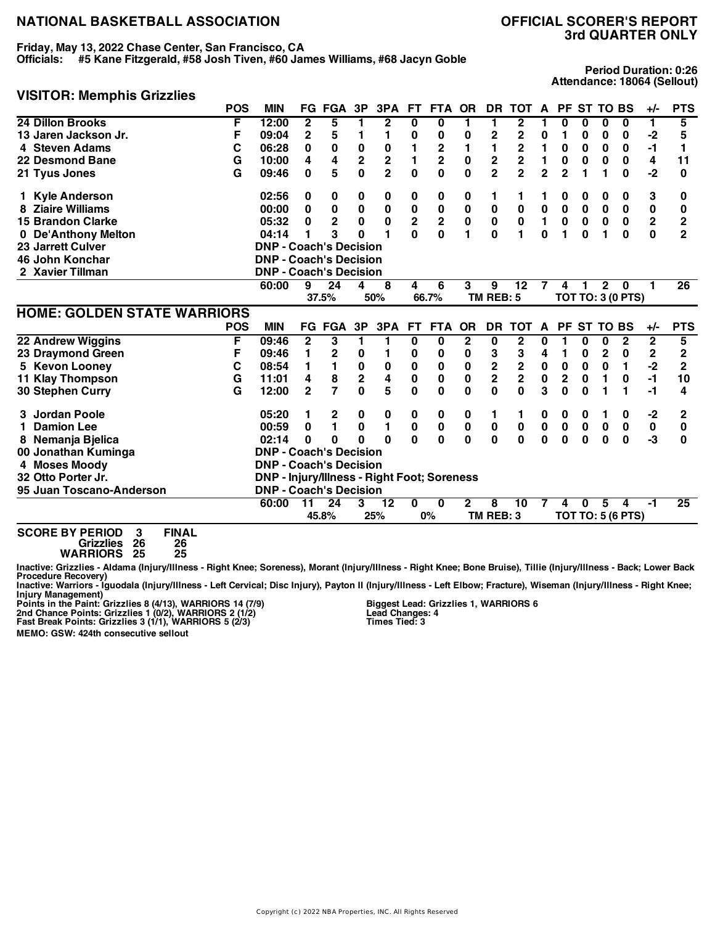**Friday, May 13, 2022 Chase Center, San Francisco, CA**

**Officials: #5 Kane Fitzgerald, #58 Josh Tiven, #60 James Williams, #68 Jacyn Goble**

## **3rd QUARTER ONLY**

**Period Duration: 0:26 Attendance: 18064 (Sellout)**

#### **VISITOR: Memphis Grizzlies**

|                                    | <b>POS</b> | <b>MIN</b>                                         | FG.            | <b>FGA</b>     | 3P                      | 3PA            | FT.                     | <b>FTA</b>              | <b>OR</b>      | DR.            | <b>TOT</b>              | $\mathbf{A}$   |                |             | PF ST TO BS  |                          | $+/-$          | <b>PTS</b>              |
|------------------------------------|------------|----------------------------------------------------|----------------|----------------|-------------------------|----------------|-------------------------|-------------------------|----------------|----------------|-------------------------|----------------|----------------|-------------|--------------|--------------------------|----------------|-------------------------|
| 24 Dillon Brooks                   | F          | 12:00                                              | $\mathbf{2}$   | 5              |                         | $\mathbf{2}$   | 0                       | 0                       |                | 1.             | 2                       |                | U              | 0           | 0            | 0                        | 1.             | 5                       |
| 13 Jaren Jackson Jr.               | F          | 09:04                                              | 2              | 5              | 1                       | 1              | 0                       | 0                       | 0              | 2              | 2                       | 0              | 1              | 0           | 0            | 0                        | -2             | 5                       |
| 4 Steven Adams                     | С          | 06:28                                              | 0              | 0              | 0                       | 0              | 1                       | 2                       |                | 1              | 2                       |                | 0              | 0           | 0            | 0                        | $-1$           | 1                       |
| 22 Desmond Bane                    | G          | 10:00                                              | 4              | 4              | $\overline{\mathbf{2}}$ | $\mathbf 2$    | 1                       | $\overline{\mathbf{c}}$ | $\bf{0}$       | 2              | $\overline{\mathbf{c}}$ | 1              | 0              | 0           | 0            | 0                        | 4              | 11                      |
| 21 Tyus Jones                      | G          | 09:46                                              | 0              | 5              | 0                       | $\overline{2}$ | $\mathbf 0$             | $\bf{0}$                | 0              | $\overline{2}$ | $\overline{2}$          | $\overline{2}$ | $\overline{2}$ |             |              | $\bf{0}$                 | $-2$           | 0                       |
| <b>Kyle Anderson</b>               |            | 02:56                                              | 0              | 0              | 0                       | 0              | 0                       | 0                       | 0              | 1              | 1                       |                | 0              | 0           | 0            | 0                        | 3              | 0                       |
| <b>Ziaire Williams</b>             |            | 00:00                                              | 0              | $\mathbf 0$    | $\pmb{0}$               | $\pmb{0}$      | $\pmb{0}$               | $\pmb{0}$               | $\pmb{0}$      | $\pmb{0}$      | $\bf{0}$                | $\pmb{0}$      | $\pmb{0}$      | $\bf{0}$    | $\bf{0}$     | $\pmb{0}$                | $\pmb{0}$      | 0                       |
| <b>15 Brandon Clarke</b>           |            | 05:32                                              | 0              | $\overline{2}$ | 0                       | $\mathbf 0$    | $\overline{\mathbf{2}}$ | $\bf 2$                 | $\pmb{0}$      | $\pmb{0}$      | $\bf{0}$                | $\blacksquare$ | $\pmb{0}$      | $\mathbf 0$ | $\mathbf 0$  | $\mathbf 0$              | 2              | $\overline{\mathbf{c}}$ |
| 0 De'Anthony Melton                |            | 04:14                                              | 1              | 3              | 0                       | 1              | $\mathbf{0}$            | $\mathbf{0}$            | 1              | $\mathbf{0}$   | 1                       | $\bf{0}$       | 1              | $\bf{0}$    | 1            | $\bf{0}$                 | $\mathbf{0}$   | $\overline{2}$          |
| 23 Jarrett Culver                  |            | <b>DNP - Coach's Decision</b>                      |                |                |                         |                |                         |                         |                |                |                         |                |                |             |              |                          |                |                         |
| 46 John Konchar                    |            | <b>DNP - Coach's Decision</b>                      |                |                |                         |                |                         |                         |                |                |                         |                |                |             |              |                          |                |                         |
| 2 Xavier Tillman                   |            | <b>DNP - Coach's Decision</b>                      |                |                |                         |                |                         |                         |                |                |                         |                |                |             |              |                          |                |                         |
|                                    |            | 60:00                                              | 9              | 24             | 4                       | 8              | 4                       | 6                       | 3              | 9              | 12                      | 7              | 4              | 1           | $\mathbf{2}$ | 0                        |                | $\overline{26}$         |
|                                    |            |                                                    |                | 37.5%          |                         | 50%            |                         | 66.7%                   |                | TM REB: 5      |                         |                |                |             |              | <b>TOT TO: 3 (0 PTS)</b> |                |                         |
| <b>HOME: GOLDEN STATE WARRIORS</b> |            |                                                    |                |                |                         |                |                         |                         |                |                |                         |                |                |             |              |                          |                |                         |
|                                    | <b>POS</b> | <b>MIN</b>                                         |                | <b>FG FGA</b>  | 3P                      | 3PA            | <b>FT</b>               | <b>FTA</b>              | <b>OR</b>      | <b>DR</b>      | <b>TOT</b>              | A              | <b>PF</b>      |             | ST TO BS     |                          | +/-            | <b>PTS</b>              |
|                                    |            |                                                    | $\mathbf{2}$   | 3              | 1                       | 1              | 0                       | 0                       | $\overline{2}$ | 0              | 2                       | 0              | 1              | 0           | 0            | $\mathbf{2}$             | $\overline{2}$ | 5                       |
| 22 Andrew Wiggins                  | F          | 09:46                                              |                |                |                         |                |                         |                         |                |                |                         |                |                |             |              |                          |                |                         |
| 23 Draymond Green                  | F          | 09:46                                              | 1              | 2              | 0                       |                | 0                       | 0                       | 0              | 3              | 3                       | 4              | 1              | 0           | $\mathbf{2}$ | 0                        | $\mathbf 2$    | 2                       |
| 5 Kevon Looney                     | С          | 08:54                                              | 1              | 1              | 0                       | 0              | $\pmb{0}$               | 0                       | 0              |                |                         | 0              | 0              | 0           | $\mathbf 0$  | 1                        | $-2$           | $\overline{2}$          |
| 11 Klay Thompson                   | G          | 11:01                                              | 4              | 8              | $\overline{\mathbf{c}}$ | 4              | 0                       | $\bf{0}$                | $\mathbf 0$    | $\frac{2}{2}$  | $\frac{2}{2}$           | $\mathbf 0$    | $\overline{2}$ | 0           | 1            | $\bf{0}$                 | $-1$           | 10                      |
| 30 Stephen Curry                   | G          | 12:00                                              | $\overline{2}$ | $\overline{7}$ | $\mathbf{0}$            | 5              | 0                       | $\bf{0}$                | $\bf{0}$       | 0              | $\Omega$                | 3              | $\bf{0}$       | $\bf{0}$    | 1            | 1                        | -1             | 4                       |
| 3 Jordan Poole                     |            | 05:20                                              | 1              | 2              | 0                       | 0              | 0                       | 0                       | 0              | 1              | 1                       | 0              | 0              | 0           | 1            | 0                        | $-2$           | 2                       |
| <b>Damion Lee</b>                  |            | 00:59                                              | 0              | 1              | 0                       | 1              | 0                       | $\bf{0}$                | 0              | 0              | $\bf{0}$                | 0              | 0              | $\mathbf 0$ | 0            | 0                        | $\pmb{0}$      | 0                       |
| 8 Nemanja Bjelica                  |            | 02:14                                              | 0              | 0              | U                       | $\Omega$       | 0                       | 0                       | 0              | $\mathbf 0$    | $\bf{0}$                | $\mathbf{0}$   | 0              | 0           | 0            | $\bf{0}$                 | -3             | 0                       |
| 00 Jonathan Kuminga                |            | <b>DNP - Coach's Decision</b>                      |                |                |                         |                |                         |                         |                |                |                         |                |                |             |              |                          |                |                         |
| 4 Moses Moody                      |            | <b>DNP - Coach's Decision</b>                      |                |                |                         |                |                         |                         |                |                |                         |                |                |             |              |                          |                |                         |
| 32 Otto Porter Jr.                 |            | <b>DNP - Injury/Illness - Right Foot; Soreness</b> |                |                |                         |                |                         |                         |                |                |                         |                |                |             |              |                          |                |                         |
| 95 Juan Toscano-Anderson           |            | <b>DNP - Coach's Decision</b>                      |                |                |                         |                |                         |                         |                |                |                         |                |                |             |              |                          |                |                         |
|                                    |            | 60:00                                              | 11             | 24             | 3                       | 12             | 0                       | $\bf{0}$                | $\mathbf{2}$   | 8              | 10                      |                | 4              | 0           | 5            | 4                        | $-1$           | 25                      |
|                                    |            |                                                    |                | 45.8%          |                         | 25%            |                         | 0%                      |                | TM REB: 3      |                         |                |                |             |              | <b>TOT TO: 5 (6 PTS)</b> |                |                         |

**Grizzlies 26 26**

**WARRIORS 25 25**

Inactive: Grizzlies - Aldama (Injury/Illness - Right Knee; Soreness), Morant (Injury/Illness - Right Knee; Bone Bruise), Tillie (Injury/Illness - Back; Lower Back Procedure Recovery)<br>Inactive: Warriors - Iguodala (Injury/Illness - Left Cervical; Disc Injury), Payton II (Injury/Illness - Left Elbow; Fracture), Wiseman (Injury/Illness - Right Knee;

Injury Management)<br>Points in the Paint: Grizzlies 8 (4/13), WARRIORS 14 (7/9)<br>2nd Chance Points: Grizzlies 1 (0/2), WARRIORS 2 (1/2)<br>Fast Break Points: Grizzlies 3 (1/1), WARRIORS 5 (2/3)

**Biggest Lead: Grizzlies 1, WARRIORS 6 Lead Changes: 4 Times Tied: 3**

**MEMO: GSW: 424th consecutive sellout**

Copyright (c) 2022 NBA Properties, INC. All Rights Reserved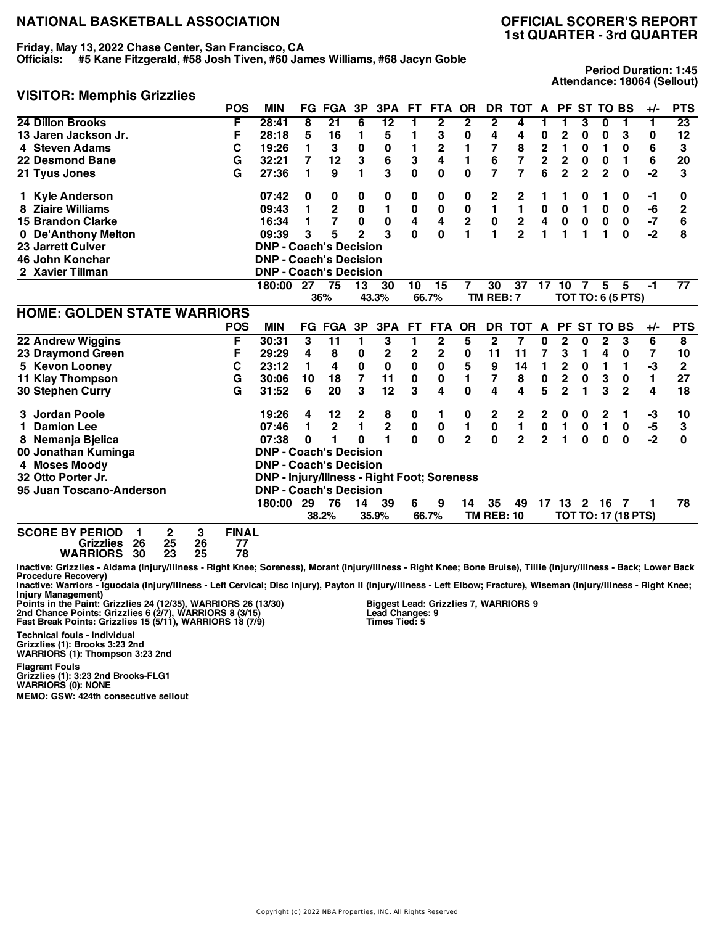**Friday, May 13, 2022 Chase Center, San Francisco, CA**

**Officials: #5 Kane Fitzgerald, #58 Josh Tiven, #60 James Williams, #68 Jacyn Goble**

## **1st QUARTER - 3rd QUARTER**

**Period Duration: 1:45 Attendance: 18064 (Sellout)**

#### **VISITOR: Memphis Grizzlies**

|                                                                                                                                                                                                                                                                                                                                                                           | <b>POS</b>   | <b>MIN</b>                                         |          | <b>FG FGA</b>   | 3P             | 3PA             | FT.          | <b>FTA</b>     | <b>OR</b>      |                   | DR TOT           | A                       |                | PF ST TO BS    |                 |                            | $+/-$          | <b>PTS</b>              |
|---------------------------------------------------------------------------------------------------------------------------------------------------------------------------------------------------------------------------------------------------------------------------------------------------------------------------------------------------------------------------|--------------|----------------------------------------------------|----------|-----------------|----------------|-----------------|--------------|----------------|----------------|-------------------|------------------|-------------------------|----------------|----------------|-----------------|----------------------------|----------------|-------------------------|
| 24 Dillon Brooks                                                                                                                                                                                                                                                                                                                                                          | F            | 28:41                                              | 8        | $\overline{21}$ | 6              | $\overline{12}$ | 1            | $\mathbf{2}$   | $\mathbf{2}$   | 2                 | 4                | 1                       | 1              | 3              | $\bf{0}$        | 1                          | 1              | 23                      |
| 13 Jaren Jackson Jr.                                                                                                                                                                                                                                                                                                                                                      | F            | 28:18                                              | 5        | 16              | 1              | 5               | 1            | 3              | 0              | 4                 | 4                | 0                       | $\mathbf 2$    | 0              | 0               | 3                          | 0              | 12                      |
| 4 Steven Adams                                                                                                                                                                                                                                                                                                                                                            | С            | 19:26                                              | 1        | 3               | 0              | 0               | 1            | $\mathbf 2$    | 1              | 7                 | 8                | 2                       | 1              | 0              | 1               | $\bf{0}$                   | 6              | 3                       |
| 22 Desmond Bane                                                                                                                                                                                                                                                                                                                                                           | G            | 32:21                                              | 7        | 12              | 3              | 6               | 3            | 4              | 1              | 6                 | 7                | $\mathbf 2$             | $\mathbf 2$    | 0              | 0               | 1                          | 6              | 20                      |
| 21 Tyus Jones                                                                                                                                                                                                                                                                                                                                                             | G            | 27:36                                              | 1        | 9               | 1              | 3               | 0            | $\bf{0}$       | $\bf{0}$       | $\overline{7}$    | 7                | 6                       | $\overline{2}$ | $\mathbf 2$    | $\overline{2}$  | $\Omega$                   | $-2$           | 3                       |
| <b>Kyle Anderson</b>                                                                                                                                                                                                                                                                                                                                                      |              | 07:42                                              | 0        | 0               | 0              | 0               | 0            | 0              | 0              | $\mathbf 2$       | 2                |                         | 1              | 0              | 1               | 0                          | -1             | 0                       |
| 8 Ziaire Williams                                                                                                                                                                                                                                                                                                                                                         |              | 09:43                                              | 1        | $\mathbf 2$     | 0              | 1               | 0            | 0              | 0              | 1                 | 1                | 0                       | 0              | 1              | $\bf{0}$        | 0                          | -6             | $\mathbf 2$             |
| <b>15 Brandon Clarke</b>                                                                                                                                                                                                                                                                                                                                                  |              | 16:34                                              | 1        | 7               | 0              | 0               | 4            | 4              | $\mathbf 2$    | 0                 | $\boldsymbol{2}$ | 4                       | $\mathbf 0$    | $\bf{0}$       | 0               | $\mathbf 0$                | $-7$           | 6                       |
| 0 De'Anthony Melton                                                                                                                                                                                                                                                                                                                                                       |              | 09:39                                              | 3        | 5               | $\overline{2}$ | 3               | $\bf{0}$     | 0              | 1              | 1                 | $\overline{2}$   | 1                       | 1              | 1              | 1               | $\bf{0}$                   | $-2$           | 8                       |
| <b>23 Jarrett Culver</b>                                                                                                                                                                                                                                                                                                                                                  |              | <b>DNP - Coach's Decision</b>                      |          |                 |                |                 |              |                |                |                   |                  |                         |                |                |                 |                            |                |                         |
| 46 John Konchar                                                                                                                                                                                                                                                                                                                                                           |              | <b>DNP - Coach's Decision</b>                      |          |                 |                |                 |              |                |                |                   |                  |                         |                |                |                 |                            |                |                         |
| 2 Xavier Tillman                                                                                                                                                                                                                                                                                                                                                          |              | <b>DNP - Coach's Decision</b>                      |          |                 |                |                 |              |                |                |                   |                  |                         |                |                |                 |                            |                |                         |
|                                                                                                                                                                                                                                                                                                                                                                           |              | 180:00 27                                          |          | 75              | 13             | 30              | 10           | 15             | 7              | 30                | $\overline{37}$  | 17                      | 10             | 7              | 5               | 5                          | -1             | $\overline{77}$         |
|                                                                                                                                                                                                                                                                                                                                                                           |              |                                                    |          | 36%             |                | 43.3%           |              | 66.7%          |                | TM REB: 7         |                  |                         |                |                |                 | <b>TOT TO: 6 (5 PTS)</b>   |                |                         |
| <b>HOME: GOLDEN STATE WARRIORS</b>                                                                                                                                                                                                                                                                                                                                        |              |                                                    |          |                 |                |                 |              |                |                |                   |                  |                         |                |                |                 |                            |                |                         |
|                                                                                                                                                                                                                                                                                                                                                                           | <b>POS</b>   | <b>MIN</b>                                         |          | <b>FG FGA</b>   | 3P             | 3PA             | <b>FT</b>    | <b>FTA</b>     | <b>OR</b>      |                   | DR TOT           | A                       |                | PF ST TO BS    |                 |                            | $+/-$          | <b>PTS</b>              |
| 22 Andrew Wiggins                                                                                                                                                                                                                                                                                                                                                         | F            | 30:31                                              | 3        | 11              | 1              | 3               | 1            | $\overline{2}$ | 5              | $\overline{2}$    | 7                | 0                       | $\mathbf{2}$   | 0              | $\mathbf{2}$    | 3                          | $\overline{6}$ | $\overline{\mathbf{8}}$ |
| 23 Draymond Green                                                                                                                                                                                                                                                                                                                                                         | F            | 29:29                                              | 4        | 8               | 0              | $\mathbf 2$     | 2            | $\mathbf 2$    | $\bf{0}$       | 11                | 11               | 7                       | 3              | 1              | 4               | 0                          | 7              | 10                      |
| 5 Kevon Looney                                                                                                                                                                                                                                                                                                                                                            | C            | 23:12                                              | 1        | 4               | 0              | 0               | 0            | 0              | 5              | 9                 | 14               | 1                       | $\mathbf{2}$   | $\bf{0}$       | 1               | 1                          | -3             | $\mathbf{2}$            |
| <b>11 Klay Thompson</b>                                                                                                                                                                                                                                                                                                                                                   | G            | 30:06                                              | 10       | 18              | 7              | 11              | 0            | 0              | 1              | 7                 | 8                | 0                       | 2              | 0              | 3               | 0                          | 1.             | 27                      |
| 30 Stephen Curry                                                                                                                                                                                                                                                                                                                                                          | G            | 31:52                                              | 6        | 20              | 3              | 12              | 3            | 4              | 0              | 4                 | 4                | 5                       | $\overline{2}$ | 1              | 3               | $\overline{2}$             | 4              | 18                      |
| Jordan Poole                                                                                                                                                                                                                                                                                                                                                              |              | 19:26                                              | 4        | 12              | 2              | 8               | 0            | 1              | 0              | $\mathbf 2$       | 2                | 2                       | 0              | 0              | 2               | 1                          | -3             | 10                      |
| <b>Damion Lee</b><br>1.                                                                                                                                                                                                                                                                                                                                                   |              | 07:46                                              | 1        | $\mathbf 2$     | 1              | $\mathbf 2$     | $\pmb{0}$    | 0              | 1              | 0                 | $\mathbf{1}$     | $\pmb{0}$               | 1              | 0              | $\mathbf{1}$    | 0                          | -5             | 3                       |
| 8 Nemanja Bjelica                                                                                                                                                                                                                                                                                                                                                         |              | 07:38                                              | $\bf{0}$ | 1               | 0              | $\blacksquare$  | $\mathbf{0}$ | $\mathbf 0$    | $\overline{2}$ | $\mathbf 0$       | $\overline{2}$   | $\overline{\mathbf{2}}$ | $\mathbf{1}$   | $\mathbf 0$    | $\bf{0}$        | $\bf{0}$                   | $-2$           | $\bf{0}$                |
| 00 Jonathan Kuminga                                                                                                                                                                                                                                                                                                                                                       |              | <b>DNP - Coach's Decision</b>                      |          |                 |                |                 |              |                |                |                   |                  |                         |                |                |                 |                            |                |                         |
| 4 Moses Moody                                                                                                                                                                                                                                                                                                                                                             |              | <b>DNP - Coach's Decision</b>                      |          |                 |                |                 |              |                |                |                   |                  |                         |                |                |                 |                            |                |                         |
| 32 Otto Porter Jr.                                                                                                                                                                                                                                                                                                                                                        |              | <b>DNP - Injury/Illness - Right Foot; Soreness</b> |          |                 |                |                 |              |                |                |                   |                  |                         |                |                |                 |                            |                |                         |
| 95 Juan Toscano-Anderson                                                                                                                                                                                                                                                                                                                                                  |              | <b>DNP - Coach's Decision</b>                      |          |                 |                |                 |              |                |                |                   |                  |                         |                |                |                 |                            |                |                         |
|                                                                                                                                                                                                                                                                                                                                                                           |              | 180:00                                             | 29       | 76              | 14             | 39              | 6            | 9              | 14             | 35                | 49               | 17                      | 13             | $\overline{2}$ | $\overline{16}$ | $\overline{7}$             |                | $\overline{78}$         |
|                                                                                                                                                                                                                                                                                                                                                                           |              |                                                    |          | 38.2%           |                | 35.9%           |              | 66.7%          |                | <b>TM REB: 10</b> |                  |                         |                |                |                 | <b>TOT TO: 17 (18 PTS)</b> |                |                         |
| <b>SCORE BY PERIOD</b><br>3<br>2<br>1                                                                                                                                                                                                                                                                                                                                     | <b>FINAL</b> |                                                    |          |                 |                |                 |              |                |                |                   |                  |                         |                |                |                 |                            |                |                         |
| 25<br>26<br><b>Grizzlies</b><br>26                                                                                                                                                                                                                                                                                                                                        | 77           |                                                    |          |                 |                |                 |              |                |                |                   |                  |                         |                |                |                 |                            |                |                         |
| 23<br>25<br><b>WARRIORS</b><br>30                                                                                                                                                                                                                                                                                                                                         | 78           |                                                    |          |                 |                |                 |              |                |                |                   |                  |                         |                |                |                 |                            |                |                         |
| Inactive: Grizzlies - Aldama (Injury/Illness - Right Knee; Soreness), Morant (Injury/Illness - Right Knee; Bone Bruise), Tillie (Injury/Illness - Back; Lower Back<br><b>Procedure Recovery)</b><br>Inactive: Warriors - Iguodala (Injury/Illness - Left Cervical: Disc Injury), Payton II (Injury/Illness - Left Elbow: Fracture), Wiseman (Injury/Illness - Right Knee: |              |                                                    |          |                 |                |                 |              |                |                |                   |                  |                         |                |                |                 |                            |                |                         |

Inactive: Warriors - Iguodala (Injury/Illness - Left Cervical; Disc Injury), Payton II (Injury/Illness - Left Elbow; Fracture), Wiseman (Injury/Illness - Right Knee;<br>Points in the Paint: Grizzlies 24 (12/35), WARRIORS 26 (

**Technical fouls - Individual**

**Biggest Lead: Grizzlies 7, WARRIORS 9 Lead Changes: 9 Times Tied: 5**

**Grizzlies (1): Brooks 3:23 2nd WARRIORS (1): Thompson 3:23 2nd Flagrant Fouls Grizzlies (1): 3:23 2nd Brooks-FLG1**

**WARRIORS (0): NONE MEMO: GSW: 424th consecutive sellout**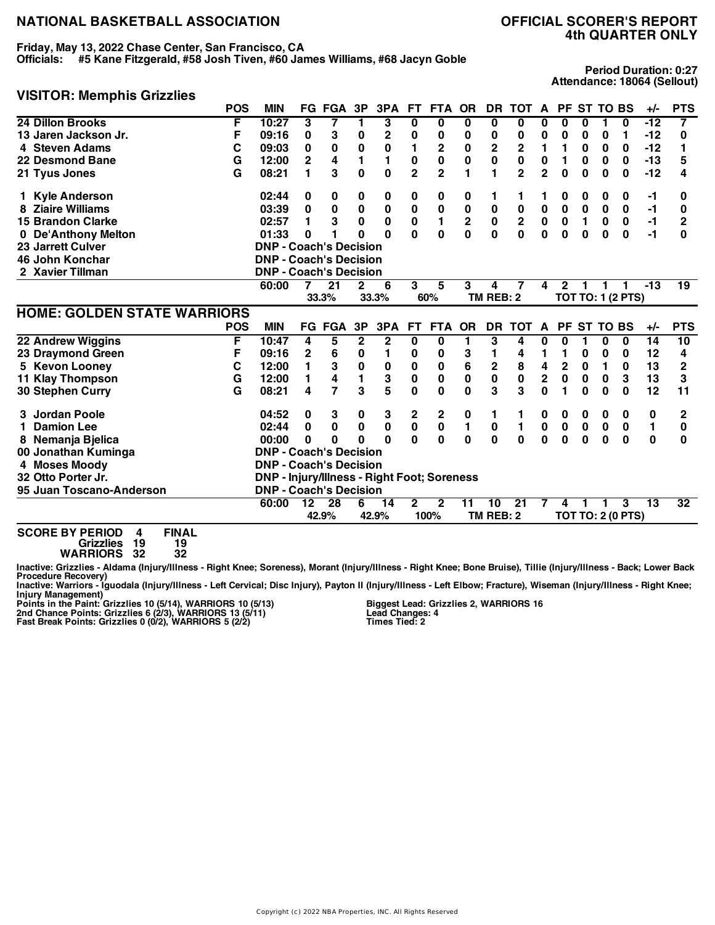### **Friday, May 13, 2022 Chase Center, San Francisco, CA**

**Officials: #5 Kane Fitzgerald, #58 Josh Tiven, #60 James Williams, #68 Jacyn Goble**

**4th QUARTER ONLY**

#### **VISITOR: Memphis Grizzlies**

**Period Duration: 0:27 Attendance: 18064 (Sellout)**

|                                             | <b>POS</b> | <b>MIN</b>                                  |                | FG FGA         | 3P           | 3PA              | FT.            | <b>FTA</b>     | <b>OR</b>    | DR                      | <b>TOT</b>       | $\mathbf{A}$   |                |                  | PF ST TO BS |                          | +/-      | <b>PTS</b>      |
|---------------------------------------------|------------|---------------------------------------------|----------------|----------------|--------------|------------------|----------------|----------------|--------------|-------------------------|------------------|----------------|----------------|------------------|-------------|--------------------------|----------|-----------------|
| 24 Dillon Brooks                            | F          | 10:27                                       | 3              | 7              | 1            | 3                | $\bf{0}$       | $\bf{0}$       | 0            | 0                       | $\bf{0}$         | 0              | 0              | 0                | 1           | $\bf{0}$                 | $-12$    | $\overline{7}$  |
| 13 Jaren Jackson Jr.                        | F          | 09:16                                       | 0              | 3              | 0            | $\mathbf 2$      | 0              | 0              | 0            | 0                       | 0                | 0              | 0              | 0                | 0           | 1                        | $-12$    | 0               |
| 4 Steven Adams                              | С          | 09:03                                       | 0              | $\bf{0}$       | $\mathbf 0$  | 0                | 1              | 2              | $\pmb{0}$    | $\overline{\mathbf{c}}$ | $\boldsymbol{2}$ | $\blacksquare$ | 1              | $\bf{0}$         | 0           | 0                        | $-12$    | 1               |
| 22 Desmond Bane                             | G          | 12:00                                       | $\overline{2}$ | 4              | 1            | 1                | $\bf{0}$       | $\mathbf 0$    | $\mathbf 0$  | 0                       | $\mathbf 0$      | 0              | 1              | 0                | 0           | 0                        | $-13$    | 5               |
| 21 Tyus Jones                               | G          | 08:21                                       | 1              | 3              | $\bf{0}$     | $\bf{0}$         | $\overline{2}$ | $\overline{2}$ | 1            | 1                       | $\overline{2}$   | $\overline{2}$ | 0              | 0                | 0           | $\bf{0}$                 | $-12$    | 4               |
| 1 Kyle Anderson                             |            | 02:44                                       | 0              | 0              | 0            | 0                | 0              | 0              | 0            | 1                       | 1                |                | 0              | 0                | 0           | 0                        | -1       | 0               |
| 8 Ziaire Williams                           |            | 03:39                                       | 0              | 0              | 0            | 0                | $\pmb{0}$      | $\bf{0}$       | 0            | 0                       | $\pmb{0}$        | $\pmb{0}$      | 0              | $\bf{0}$         | 0           | 0                        | $-1$     | 0               |
| <b>15 Brandon Clarke</b>                    |            | 02:57                                       | 1              | 3              | $\mathbf 0$  | 0                | $\pmb{0}$      | 1              | $\mathbf 2$  | $\pmb{0}$               | $\boldsymbol{2}$ | $\pmb{0}$      | $\mathbf 0$    | $\mathbf{1}$     | $\bf{0}$    | $\mathbf 0$              | $-1$     | $\mathbf{2}$    |
| 0 De'Anthony Melton                         |            | 01:33                                       | 0              | 1              | 0            | $\Omega$         | $\bf{0}$       | $\bf{0}$       | $\bf{0}$     | $\mathbf{0}$            | $\mathbf{0}$     | $\bf{0}$       | $\bf{0}$       | $\mathbf 0$      | $\bf{0}$    | $\bf{0}$                 | $-1$     | 0               |
| 23 Jarrett Culver                           |            | <b>DNP - Coach's Decision</b>               |                |                |              |                  |                |                |              |                         |                  |                |                |                  |             |                          |          |                 |
| 46 John Konchar                             |            | <b>DNP - Coach's Decision</b>               |                |                |              |                  |                |                |              |                         |                  |                |                |                  |             |                          |          |                 |
| 2 Xavier Tillman                            |            | <b>DNP - Coach's Decision</b>               |                |                |              |                  |                |                |              |                         |                  |                |                |                  |             |                          |          |                 |
|                                             |            | 60:00                                       | $\overline{7}$ | 21             | $\mathbf{2}$ | 6                | 3              | 5              | 3            | 4                       | 7                | 4              | $\mathbf{2}$   | 1.               | 1           |                          | $-13$    | $\overline{19}$ |
|                                             |            |                                             |                | 33.3%          |              | 33.3%            |                | 60%            |              | TM REB: 2               |                  |                |                |                  |             | <b>TOT TO: 1 (2 PTS)</b> |          |                 |
| <b>HOME: GOLDEN STATE WARRIORS</b>          |            |                                             |                |                |              |                  |                |                |              |                         |                  |                |                |                  |             |                          |          |                 |
|                                             | <b>POS</b> | <b>MIN</b>                                  | FG.            | <b>FGA</b>     | 3P           | 3PA              | FT.            | <b>FTA</b>     | <b>OR</b>    | <b>DR</b>               | тот              | A              |                |                  | PF ST TO BS |                          | +/-      | <b>PTS</b>      |
| 22 Andrew Wiggins                           | F          | 10:47                                       | 4              | 5              | 2            | $\boldsymbol{2}$ | 0              | 0              |              | 3                       | 4                | 0              | 0              |                  | 0           | 0                        | 14       | 10              |
| 23 Draymond Green                           | F          | 09:16                                       | 2              | 6              | 0            | 1                | 0              | 0              | 3            | 1                       | 4                | 1              | 1              | 0                | 0           | 0                        | 12       | 4               |
| 5 Kevon Looney                              | С          | 12:00                                       | 1              | 3              | 0            | 0                | $\pmb{0}$      | 0              | 6            | $\overline{\mathbf{c}}$ | 8                | 4              | $\overline{2}$ | 0                | 1           | 0                        | 13       | $\mathbf 2$     |
| <b>11 Klay Thompson</b>                     | G          | 12:00                                       | 1              | 4              | 1            | 3                | $\pmb{0}$      | $\bf{0}$       | 0            | $\pmb{0}$               | $\pmb{0}$        | $\mathbf 2$    | $\mathbf 0$    | $\mathbf 0$      | $\bf{0}$    | 3                        | 13       | 3               |
| 30 Stephen Curry                            | G          | 08:21                                       | 4              | $\overline{7}$ | 3            | 5                | 0              | 0              | $\bf{0}$     | 3                       | 3                | $\mathbf{0}$   | 1              | $\bf{0}$         | $\bf{0}$    | $\bf{0}$                 | 12       | 11              |
| 3 Jordan Poole                              |            | 04:52                                       | 0              | 3              | 0            | 3                | 2              | 2              | 0            | 1                       | 1                | 0              | 0              | 0                | 0           | 0                        | 0        | 2               |
| <b>Damion Lee</b>                           |            | 02:44                                       | 0              | $\bf{0}$       | $\pmb{0}$    | $\pmb{0}$        | $\pmb{0}$      | $\mathbf 0$    | $\mathbf{1}$ | $\pmb{0}$               | 1                | $\pmb{0}$      | $\pmb{0}$      | $\boldsymbol{0}$ | $\bf{0}$    | $\mathbf 0$              | 1        | 0               |
| 8 Nemanja Bjelica                           |            | 00:00                                       | 0              | 0              | O            | $\Omega$         | $\mathbf{0}$   | 0              | 0            | $\mathbf{0}$            | $\bf{0}$         | $\mathbf{0}$   | $\mathbf{0}$   | 0                | $\bf{0}$    | $\bf{0}$                 | $\bf{0}$ | 0               |
| 00 Jonathan Kuminga                         |            | <b>DNP - Coach's Decision</b>               |                |                |              |                  |                |                |              |                         |                  |                |                |                  |             |                          |          |                 |
| 4 Moses Moody                               |            | <b>DNP - Coach's Decision</b>               |                |                |              |                  |                |                |              |                         |                  |                |                |                  |             |                          |          |                 |
| 32 Otto Porter Jr.                          |            | DNP - Injury/Illness - Right Foot; Soreness |                |                |              |                  |                |                |              |                         |                  |                |                |                  |             |                          |          |                 |
| 95 Juan Toscano-Anderson                    |            | <b>DNP - Coach's Decision</b>               |                |                |              |                  |                |                |              |                         |                  |                |                |                  |             |                          |          |                 |
|                                             |            | 60:00                                       | 12             | 28             | 6            | 14               | $\mathbf{2}$   | $\mathbf{2}$   | 11           | 10                      | 21               | 7              | 4              | 1                | 1           | 3                        | 13       | 32              |
|                                             |            |                                             |                | 42.9%          |              | 42.9%            |                | 100%           |              | TM REB: 2               |                  |                |                |                  |             | <b>TOT TO: 2 (0 PTS)</b> |          |                 |
| <b>FINAL</b><br><b>SCORE BY PERIOD</b><br>4 |            |                                             |                |                |              |                  |                |                |              |                         |                  |                |                |                  |             |                          |          |                 |

**Grizzlies 19 19 WARRIORS 32 32**

Inactive: Grizzlies - Aldama (Injury/Illness - Right Knee; Soreness), Morant (Injury/Illness - Right Knee; Bone Bruise), Tillie (Injury/Illness - Back; Lower Back

Procedure Recovery)<br>Inactive: Warriors - Iguodala (Injury/Illness - Left Cervical; Disc Injury), Payton II (Injury/Illness - Left Elbow; Fracture), Wiseman (Injury/Illness - Right Knee;

Injury Management)<br>Points in the Paint: Grizzlies 10 (5/14), WARRIORS 10 (5/13)<br>2nd Chance Points: Grizzlies 6 (2/3), WARRIORS 13 (5/11)<br>Fast Break Points: Grizzlies 0 (0/2), WARRIORS 5 (2/2)

**Biggest Lead: Grizzlies 2, WARRIORS 16 Lead Changes: 4 Times Tied: 2**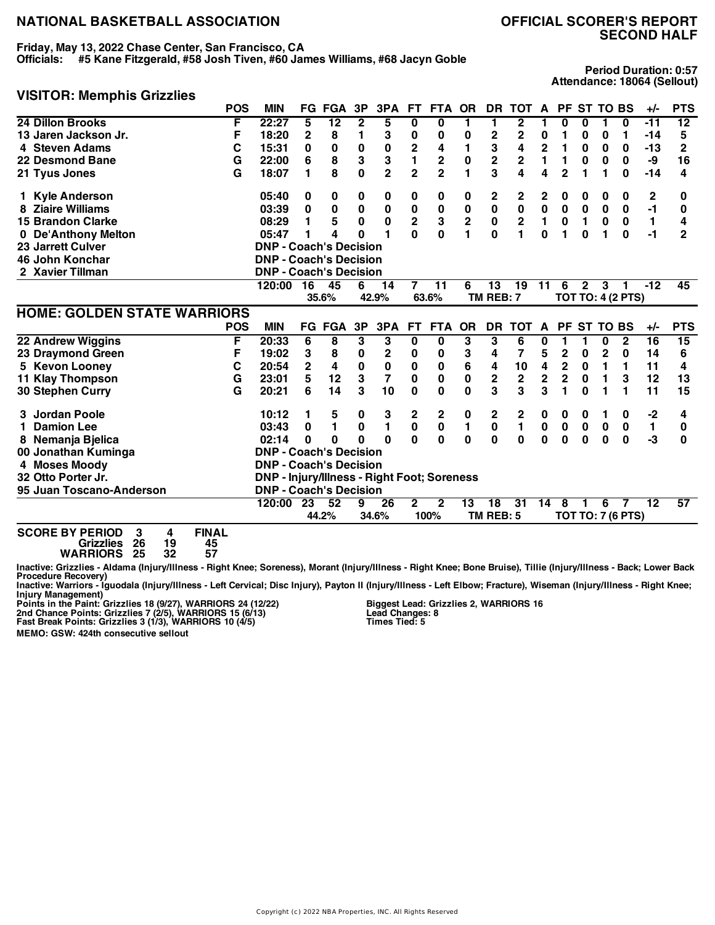### **Friday, May 13, 2022 Chase Center, San Francisco, CA**

**Officials: #5 Kane Fitzgerald, #58 Josh Tiven, #60 James Williams, #68 Jacyn Goble**

## **SECOND HALF**

**Period Duration: 0:57 Attendance: 18064 (Sellout)**

#### **VISITOR: Memphis Grizzlies**

|                                                                                        | <b>POS</b> | <b>MIN</b>                                  | FG.            | <b>FGA</b>      | 3P          | 3PA                     | FT.                     | <b>FTA</b>       | <b>OR</b>       | DR                      | <b>TOT</b>              | A            |                         |              | PF ST TO BS |                          | +/-             | <b>PTS</b>     |
|----------------------------------------------------------------------------------------|------------|---------------------------------------------|----------------|-----------------|-------------|-------------------------|-------------------------|------------------|-----------------|-------------------------|-------------------------|--------------|-------------------------|--------------|-------------|--------------------------|-----------------|----------------|
| 24 Dillon Brooks                                                                       | F          | 22:27                                       | 5              | $\overline{12}$ | 2           | 5                       | 0                       | 0                |                 | 1                       | 2                       |              | 0                       | 0            |             | 0                        | -11             | 12             |
| 13 Jaren Jackson Jr.                                                                   | F          | 18:20                                       | 2              | 8               | 1           | 3                       | 0                       | 0                | 0               | 2                       | 2                       | 0            | 1                       | 0            | 0           | 1                        | $-14$           | 5              |
| 4 Steven Adams                                                                         | С          | 15:31                                       | 0              | 0               | 0           | 0                       | 2                       | 4                | 1               | 3                       | 4                       | 2            | 1                       | 0            | 0           | $\bf{0}$                 | $-13$           | 2              |
| 22 Desmond Bane                                                                        | G          | 22:00                                       | 6              | 8               | 3           | 3                       | 1                       | 2                | $\bf{0}$        | $\overline{\mathbf{c}}$ | $\overline{\mathbf{c}}$ | 1            | 1                       | 0            | 0           | $\bf{0}$                 | -9              | 16             |
| 21 Tyus Jones                                                                          | G          | 18:07                                       | 1              | 8               | 0           | $\mathbf 2$             | $\overline{2}$          | $\overline{2}$   |                 | 3                       | 4                       | 4            | $\overline{2}$          |              | 1           | $\bf{0}$                 | $-14$           | 4              |
| 1 Kyle Anderson                                                                        |            | 05:40                                       | 0              | 0               | 0           | 0                       | 0                       | 0                | 0               | 2                       | 2                       | 2            | 0                       | 0            | 0           | 0                        | 2               | 0              |
| <b>Ziaire Williams</b>                                                                 |            | 03:39                                       | $\bf{0}$       | $\bf{0}$        | 0           | 0                       | $\pmb{0}$               | $\bf{0}$         | $\bf{0}$        | $\pmb{0}$               | $\mathbf 0$             | $\pmb{0}$    | 0                       | $\bf{0}$     | $\bf{0}$    | 0                        | $-1$            | 0              |
| <b>15 Brandon Clarke</b>                                                               |            | 08:29                                       | 1              | 5               | 0           | 0                       | $\overline{\mathbf{c}}$ | 3                | $\mathbf 2$     | 0                       | $\mathbf 2$             | 1            | $\pmb{0}$               | 1            | 0           | 0                        | 1               | 4              |
| 0 De'Anthony Melton                                                                    |            | 05:47                                       | 1              | 4               | O           | 1                       | 0                       | 0                |                 | 0                       | 1                       | $\mathbf{0}$ | 1                       | 0            | 1           | $\bf{0}$                 | $-1$            | $\overline{2}$ |
| <b>23 Jarrett Culver</b>                                                               |            | <b>DNP - Coach's Decision</b>               |                |                 |             |                         |                         |                  |                 |                         |                         |              |                         |              |             |                          |                 |                |
| 46 John Konchar                                                                        |            | <b>DNP - Coach's Decision</b>               |                |                 |             |                         |                         |                  |                 |                         |                         |              |                         |              |             |                          |                 |                |
| 2 Xavier Tillman                                                                       |            | <b>DNP - Coach's Decision</b>               |                |                 |             |                         |                         |                  |                 |                         |                         |              |                         |              |             |                          |                 |                |
|                                                                                        |            | 120:00                                      | 16             | 45              | 6           | 14                      | $\overline{7}$          | 11               | 6               | 13                      | 19                      | 11           | 6                       | $\mathbf{2}$ | 3           | 1                        | $-12$           | 45             |
|                                                                                        |            |                                             |                | 35.6%           |             | 42.9%                   |                         | 63.6%            |                 | TM REB: 7               |                         |              |                         |              |             | <b>TOT TO: 4 (2 PTS)</b> |                 |                |
| <b>HOME: GOLDEN STATE WARRIORS</b>                                                     |            |                                             |                |                 |             |                         |                         |                  |                 |                         |                         |              |                         |              |             |                          |                 |                |
|                                                                                        | <b>POS</b> | <b>MIN</b>                                  |                | FG FGA          | 3P          | 3PA                     | <b>FT</b>               | <b>FTA</b>       | <b>OR</b>       | DR                      | <b>TOT</b>              | A            |                         |              | PF ST TO BS |                          | +/-             | <b>PTS</b>     |
| 22 Andrew Wiggins                                                                      | F          | 20:33                                       | 6              | 8               | 3           | 3                       | $\overline{\mathbf{0}}$ | 0                | 3               | 3                       | 6                       | 0            | 1                       | 1            | 0           | $\overline{2}$           | $\overline{16}$ | 15             |
| 23 Draymond Green                                                                      | F          | 19:02                                       | 3              | 8               | 0           | 2                       | 0                       | 0                | 3               | 4                       | 7                       | 5            | $\mathbf 2$             | 0            | $\mathbf 2$ | 0                        | 14              | 6              |
| 5 Kevon Looney                                                                         | C          | 20:54                                       | $\overline{2}$ | 4               | $\mathbf 0$ | $\pmb{0}$               | $\pmb{0}$               | $\bf{0}$         | 6               | 4                       | 10                      | 4            | $\overline{\mathbf{c}}$ | 0            | 1           | 1                        | 11              | 4              |
| <b>11 Klay Thompson</b>                                                                | G          | 23:01                                       | 5              | 12              | 3           | $\overline{\mathbf{r}}$ | $\pmb{0}$               | 0                | $\mathbf 0$     | $\mathbf 2$             | $\bf 2$                 | $\mathbf 2$  | $\overline{\mathbf{c}}$ | 0            | 1           | 3                        | 12              | 13             |
| 30 Stephen Curry                                                                       | G          | 20:21                                       | 6              | 14              | 3           | 10                      | 0                       | $\mathbf{0}$     | $\mathbf{0}$    | 3                       | 3                       | 3            | 1                       | $\bf{0}$     | 1           | 1                        | 11              | 15             |
| 3 Jordan Poole                                                                         |            | 10:12                                       | 1              | 5               | 0           | 3                       | 2                       | $\boldsymbol{2}$ | 0               | 2                       | 2                       | 0            | 0                       | 0            | 1           | 0                        | $-2$            | 4              |
| <b>Damion Lee</b>                                                                      |            | 03:43                                       | 0              | 1               | 0           | $\blacksquare$          | $\mathbf 0$             | $\bf{0}$         | 1               | 0                       | $\blacksquare$          | $\pmb{0}$    | $\pmb{0}$               | $\mathbf 0$  | $\bf{0}$    | 0                        | 1               | 0              |
| 8 Nemanja Bjelica                                                                      |            | 02:14                                       | 0              | 0               | U           | $\bf{0}$                | $\Omega$                | $\mathbf{0}$     | $\mathbf{0}$    | $\mathbf 0$             | $\mathbf{0}$            | 0            | $\bf{0}$                | $\bf{0}$     | $\bf{0}$    | $\bf{0}$                 | $-3$            | 0              |
| 00 Jonathan Kuminga                                                                    |            | <b>DNP - Coach's Decision</b>               |                |                 |             |                         |                         |                  |                 |                         |                         |              |                         |              |             |                          |                 |                |
| 4 Moses Moody                                                                          |            | <b>DNP - Coach's Decision</b>               |                |                 |             |                         |                         |                  |                 |                         |                         |              |                         |              |             |                          |                 |                |
| 32 Otto Porter Jr.                                                                     |            | DNP - Injury/Illness - Right Foot; Soreness |                |                 |             |                         |                         |                  |                 |                         |                         |              |                         |              |             |                          |                 |                |
| 95 Juan Toscano-Anderson                                                               |            | <b>DNP - Coach's Decision</b>               |                |                 |             |                         |                         |                  |                 |                         |                         |              |                         |              |             |                          |                 |                |
|                                                                                        |            | 120:00                                      | 23             | 52              | 9           | 26                      | $\overline{\mathbf{2}}$ | $\mathbf{2}$     | $\overline{13}$ | 18                      | 31                      | 14           | 8                       |              | 6           | 7                        | $\overline{12}$ | 57             |
|                                                                                        |            |                                             |                | 44.2%           |             | 34.6%                   |                         | 100%             |                 | TM REB: 5               |                         |              |                         |              |             | <b>TOT TO: 7 (6 PTS)</b> |                 |                |
| <b>SCORE BY PERIOD</b><br><b>FINAL</b><br>3<br>4<br>26<br>19<br>45<br><b>Grizzlies</b> |            |                                             |                |                 |             |                         |                         |                  |                 |                         |                         |              |                         |              |             |                          |                 |                |

**WARRIORS 25 32 57**

Inactive: Grizzlies - Aldama (Injury/Illness - Right Knee; Soreness), Morant (Injury/Illness - Right Knee; Bone Bruise), Tillie (Injury/Illness - Back; Lower Back

Procedure Recovery)<br>Inactive: Warriors - Iguodala (Injury/Illness - Left Cervical; Disc Injury), Payton II (Injury/Illness - Left Elbow; Fracture), Wiseman (Injury/Illness - Right Knee; Injury Management)<br>Points in the Paint: Grizzlies 18 (9/27), WARRIORS 24 (12/22)<br>2nd Chance Points: Grizzlies 7 (2/5), WARRIORS 15 (6/13)<br>Fast Break Points: Grizzlies 3 (1/3), WARRIORS 10 (4/5)

**MEMO: GSW: 424th consecutive sellout**

**Biggest Lead: Grizzlies 2, WARRIORS 16 Lead Changes: 8 Times Tied: 5**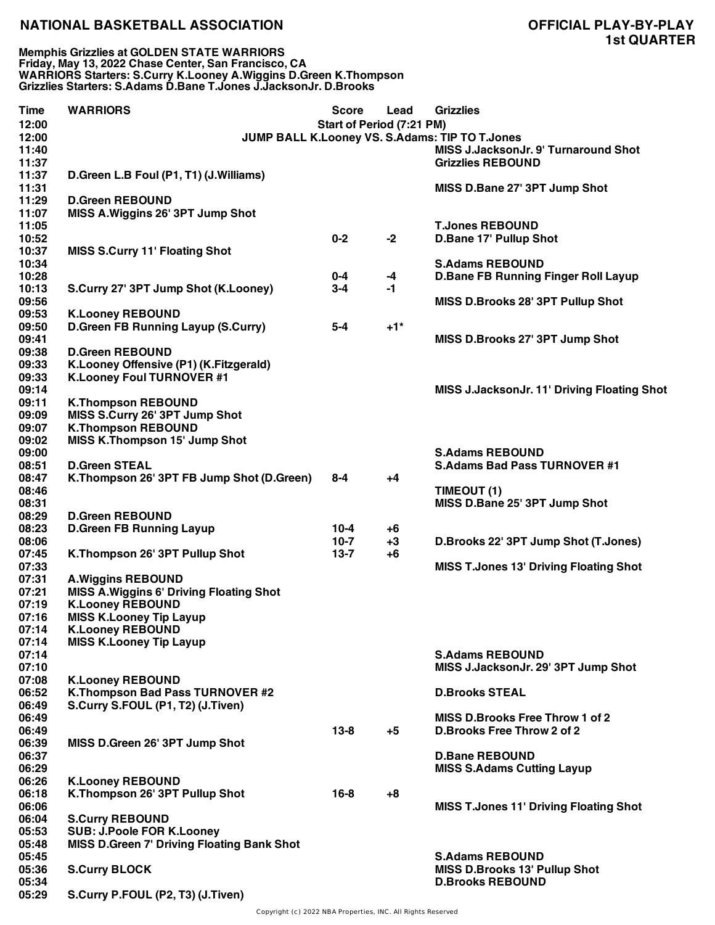**Memphis Grizzlies at GOLDEN STATE WARRIORS Friday, May 13, 2022 Chase Center, San Francisco, CA WARRIORS Starters: S.Curry K.Looney A.Wiggins D.Green K.Thompson Grizzlies Starters: S.Adams D.Bane T.Jones J.JacksonJr. D.Brooks**

| <b>Time</b>    | <b>WARRIORS</b>                                   | <b>Score</b>              | Lead  | <b>Grizzlies</b>                               |
|----------------|---------------------------------------------------|---------------------------|-------|------------------------------------------------|
| 12:00          |                                                   | Start of Period (7:21 PM) |       |                                                |
| 12:00          |                                                   |                           |       | JUMP BALL K.Looney VS. S.Adams: TIP TO T.Jones |
| 11:40          |                                                   |                           |       | MISS J.JacksonJr. 9' Turnaround Shot           |
| 11:37          |                                                   |                           |       | <b>Grizzlies REBOUND</b>                       |
| 11:37          | D.Green L.B Foul (P1, T1) (J.Williams)            |                           |       |                                                |
| 11:31          |                                                   |                           |       | MISS D.Bane 27' 3PT Jump Shot                  |
| 11:29          | <b>D.Green REBOUND</b>                            |                           |       |                                                |
| 11:07          | MISS A. Wiggins 26' 3PT Jump Shot                 |                           |       |                                                |
| 11:05          |                                                   |                           |       | <b>T.Jones REBOUND</b>                         |
| 10:52          |                                                   | $0 - 2$                   | $-2$  | D.Bane 17' Pullup Shot                         |
| 10:37          | <b>MISS S.Curry 11' Floating Shot</b>             |                           |       |                                                |
| 10:34          |                                                   |                           |       | <b>S.Adams REBOUND</b>                         |
| 10:28          |                                                   | 0-4                       | -4    | <b>D.Bane FB Running Finger Roll Layup</b>     |
| 10:13          | S.Curry 27' 3PT Jump Shot (K.Looney)              | $3-4$                     | -1    |                                                |
| 09:56<br>09:53 |                                                   |                           |       | MISS D.Brooks 28' 3PT Pullup Shot              |
| 09:50          | <b>K.Looney REBOUND</b>                           | $5-4$                     | $+1*$ |                                                |
| 09:41          | D.Green FB Running Layup (S.Curry)                |                           |       | MISS D.Brooks 27' 3PT Jump Shot                |
| 09:38          | <b>D.Green REBOUND</b>                            |                           |       |                                                |
| 09:33          | K.Looney Offensive (P1) (K.Fitzgerald)            |                           |       |                                                |
| 09:33          | K.Looney Foul TURNOVER #1                         |                           |       |                                                |
| 09:14          |                                                   |                           |       | MISS J.JacksonJr. 11' Driving Floating Shot    |
| 09:11          | <b>K.Thompson REBOUND</b>                         |                           |       |                                                |
| 09:09          | MISS S.Curry 26' 3PT Jump Shot                    |                           |       |                                                |
| 09:07          | <b>K.Thompson REBOUND</b>                         |                           |       |                                                |
| 09:02          | <b>MISS K.Thompson 15' Jump Shot</b>              |                           |       |                                                |
| 09:00          |                                                   |                           |       | <b>S.Adams REBOUND</b>                         |
| 08:51          | <b>D.Green STEAL</b>                              |                           |       | <b>S.Adams Bad Pass TURNOVER #1</b>            |
| 08:47          | K.Thompson 26' 3PT FB Jump Shot (D.Green)         | $8 - 4$                   | +4    |                                                |
| 08:46          |                                                   |                           |       | TIMEOUT (1)                                    |
| 08:31          |                                                   |                           |       | MISS D.Bane 25' 3PT Jump Shot                  |
| 08:29          | <b>D.Green REBOUND</b>                            |                           |       |                                                |
| 08:23          | <b>D.Green FB Running Layup</b>                   | $10 - 4$                  | $+6$  |                                                |
| 08:06          |                                                   | $10-7$                    | $+3$  | D.Brooks 22' 3PT Jump Shot (T.Jones)           |
| 07:45          | K.Thompson 26' 3PT Pullup Shot                    | $13 - 7$                  | $+6$  |                                                |
| 07:33          |                                                   |                           |       | <b>MISS T.Jones 13' Driving Floating Shot</b>  |
| 07:31          | <b>A.Wiggins REBOUND</b>                          |                           |       |                                                |
| 07:21          | <b>MISS A. Wiggins 6' Driving Floating Shot</b>   |                           |       |                                                |
| 07:19          | <b>K.Looney REBOUND</b>                           |                           |       |                                                |
| 07:16          | <b>MISS K.Looney Tip Layup</b>                    |                           |       |                                                |
| 07:14          | <b>K.Looney REBOUND</b>                           |                           |       |                                                |
| 07:14          | <b>MISS K.Looney Tip Layup</b>                    |                           |       |                                                |
| 07:14<br>07:10 |                                                   |                           |       | <b>S.Adams REBOUND</b>                         |
| 07:08          | <b>K.Looney REBOUND</b>                           |                           |       | MISS J.JacksonJr. 29' 3PT Jump Shot            |
| 06:52          | K.Thompson Bad Pass TURNOVER #2                   |                           |       | <b>D.Brooks STEAL</b>                          |
| 06:49          | S.Curry S.FOUL (P1, T2) (J.Tiven)                 |                           |       |                                                |
| 06:49          |                                                   |                           |       | MISS D.Brooks Free Throw 1 of 2                |
| 06:49          |                                                   | $13 - 8$                  | $+5$  | <b>D.Brooks Free Throw 2 of 2</b>              |
| 06:39          | MISS D.Green 26' 3PT Jump Shot                    |                           |       |                                                |
| 06:37          |                                                   |                           |       | <b>D.Bane REBOUND</b>                          |
| 06:29          |                                                   |                           |       | <b>MISS S.Adams Cutting Layup</b>              |
| 06:26          | <b>K.Looney REBOUND</b>                           |                           |       |                                                |
| 06:18          | K.Thompson 26' 3PT Pullup Shot                    | $16 - 8$                  | $+8$  |                                                |
| 06:06          |                                                   |                           |       | <b>MISS T.Jones 11' Driving Floating Shot</b>  |
| 06:04          | <b>S.Curry REBOUND</b>                            |                           |       |                                                |
| 05:53          | <b>SUB: J.Poole FOR K.Looney</b>                  |                           |       |                                                |
| 05:48          | <b>MISS D.Green 7' Driving Floating Bank Shot</b> |                           |       |                                                |
| 05:45          |                                                   |                           |       | <b>S.Adams REBOUND</b>                         |
| 05:36          | <b>S.Curry BLOCK</b>                              |                           |       | <b>MISS D.Brooks 13' Pullup Shot</b>           |
| 05:34          |                                                   |                           |       | <b>D.Brooks REBOUND</b>                        |
| 05:29          | S.Curry P.FOUL (P2, T3) (J.Tiven)                 |                           |       |                                                |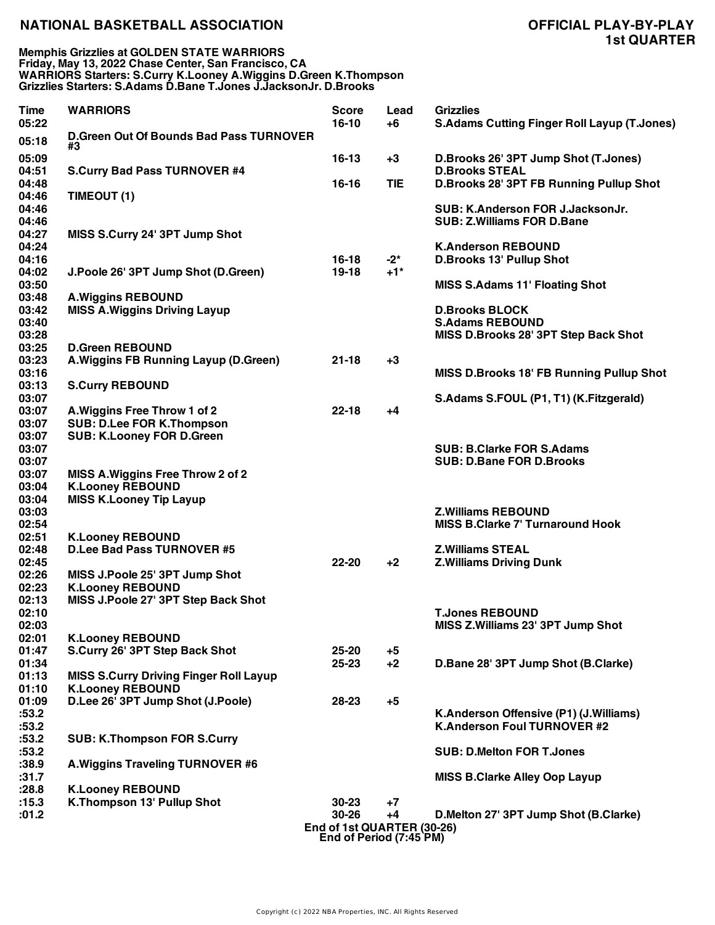**Memphis Grizzlies at GOLDEN STATE WARRIORS Friday, May 13, 2022 Chase Center, San Francisco, CA WARRIORS Starters: S.Curry K.Looney A.Wiggins D.Green K.Thompson Grizzlies Starters: S.Adams D.Bane T.Jones J.JacksonJr. D.Brooks**

| <b>Time</b>    | <b>WARRIORS</b>                                      | <b>Score</b>                                          | Lead       | <b>Grizzlies</b>                                   |
|----------------|------------------------------------------------------|-------------------------------------------------------|------------|----------------------------------------------------|
| 05:22          |                                                      | $16-10$                                               | $+6$       | <b>S.Adams Cutting Finger Roll Layup (T.Jones)</b> |
| 05:18          | <b>D.Green Out Of Bounds Bad Pass TURNOVER</b><br>#3 |                                                       |            |                                                    |
| 05:09          |                                                      | $16-13$                                               | $+3$       | D.Brooks 26' 3PT Jump Shot (T.Jones)               |
| 04:51          | <b>S.Curry Bad Pass TURNOVER #4</b>                  |                                                       |            | <b>D.Brooks STEAL</b>                              |
| 04:48          |                                                      | $16 - 16$                                             | <b>TIE</b> | D.Brooks 28' 3PT FB Running Pullup Shot            |
| 04:46          | TIMEOUT (1)                                          |                                                       |            |                                                    |
| 04:46          |                                                      |                                                       |            | SUB: K.Anderson FOR J.JacksonJr.                   |
| 04:46          |                                                      |                                                       |            | <b>SUB: Z.Williams FOR D.Bane</b>                  |
| 04:27          | MISS S.Curry 24' 3PT Jump Shot                       |                                                       |            |                                                    |
| 04:24          |                                                      |                                                       |            | <b>K.Anderson REBOUND</b>                          |
| 04:16          |                                                      | $16 - 18$                                             | $-2^*$     | <b>D.Brooks 13' Pullup Shot</b>                    |
| 04:02          | J.Poole 26' 3PT Jump Shot (D.Green)                  | 19-18                                                 | $+1$ *     |                                                    |
| 03:50          |                                                      |                                                       |            | <b>MISS S.Adams 11' Floating Shot</b>              |
| 03:48          | <b>A.Wiggins REBOUND</b>                             |                                                       |            |                                                    |
| 03:42          | <b>MISS A. Wiggins Driving Layup</b>                 |                                                       |            | <b>D.Brooks BLOCK</b>                              |
| 03:40          |                                                      |                                                       |            | <b>S.Adams REBOUND</b>                             |
| 03:28          |                                                      |                                                       |            | MISS D.Brooks 28' 3PT Step Back Shot               |
| 03:25          | <b>D.Green REBOUND</b>                               |                                                       |            |                                                    |
| 03:23          | A. Wiggins FB Running Layup (D. Green)               | $21 - 18$                                             | $+3$       |                                                    |
| 03:16          |                                                      |                                                       |            | MISS D.Brooks 18' FB Running Pullup Shot           |
| 03:13          | <b>S.Curry REBOUND</b>                               |                                                       |            |                                                    |
| 03:07          |                                                      |                                                       |            | S.Adams S.FOUL (P1, T1) (K.Fitzgerald)             |
| 03:07          | A. Wiggins Free Throw 1 of 2                         | $22 - 18$                                             | $+4$       |                                                    |
| 03:07          | <b>SUB: D.Lee FOR K.Thompson</b>                     |                                                       |            |                                                    |
| 03:07          | <b>SUB: K.Looney FOR D.Green</b>                     |                                                       |            |                                                    |
| 03:07          |                                                      |                                                       |            | <b>SUB: B.Clarke FOR S.Adams</b>                   |
| 03:07          |                                                      |                                                       |            | <b>SUB: D.Bane FOR D.Brooks</b>                    |
| 03:07          | MISS A. Wiggins Free Throw 2 of 2                    |                                                       |            |                                                    |
| 03:04          | <b>K.Looney REBOUND</b>                              |                                                       |            |                                                    |
| 03:04          | <b>MISS K.Looney Tip Layup</b>                       |                                                       |            |                                                    |
| 03:03          |                                                      |                                                       |            | <b>Z.Williams REBOUND</b>                          |
| 02:54          |                                                      |                                                       |            | <b>MISS B.Clarke 7' Turnaround Hook</b>            |
| 02:51          | <b>K.Looney REBOUND</b>                              |                                                       |            |                                                    |
| 02:48          | <b>D.Lee Bad Pass TURNOVER #5</b>                    |                                                       |            | <b>Z.Williams STEAL</b>                            |
| 02:45          |                                                      | $22 - 20$                                             | $+2$       | <b>Z.Williams Driving Dunk</b>                     |
| 02:26          | MISS J.Poole 25' 3PT Jump Shot                       |                                                       |            |                                                    |
| 02:23          | <b>K.Looney REBOUND</b>                              |                                                       |            |                                                    |
| 02:13<br>02:10 | MISS J.Poole 27' 3PT Step Back Shot                  |                                                       |            | <b>T.Jones REBOUND</b>                             |
| 02:03          |                                                      |                                                       |            |                                                    |
| 02:01          | <b>K.Looney REBOUND</b>                              |                                                       |            | MISS Z.Williams 23' 3PT Jump Shot                  |
| 01:47          | S.Curry 26' 3PT Step Back Shot                       | 25-20                                                 | $+5$       |                                                    |
| 01:34          |                                                      | 25-23                                                 | $+2$       | D.Bane 28' 3PT Jump Shot (B.Clarke)                |
| 01:13          | <b>MISS S.Curry Driving Finger Roll Layup</b>        |                                                       |            |                                                    |
| 01:10          | <b>K.Looney REBOUND</b>                              |                                                       |            |                                                    |
| 01:09          | D.Lee 26' 3PT Jump Shot (J.Poole)                    | 28-23                                                 | $+5$       |                                                    |
| :53.2          |                                                      |                                                       |            | K.Anderson Offensive (P1) (J.Williams)             |
| :53.2          |                                                      |                                                       |            | <b>K.Anderson Foul TURNOVER #2</b>                 |
| :53.2          | <b>SUB: K.Thompson FOR S.Curry</b>                   |                                                       |            |                                                    |
| :53.2          |                                                      |                                                       |            | <b>SUB: D.Melton FOR T.Jones</b>                   |
| :38.9          | A. Wiggins Traveling TURNOVER #6                     |                                                       |            |                                                    |
| :31.7          |                                                      |                                                       |            | <b>MISS B.Clarke Alley Oop Layup</b>               |
| :28.8          | <b>K.Looney REBOUND</b>                              |                                                       |            |                                                    |
| :15.3          | K.Thompson 13' Pullup Shot                           | $30 - 23$                                             | $+7$       |                                                    |
| :01.2          |                                                      | 30-26                                                 | $+4$       | D.Melton 27' 3PT Jump Shot (B.Clarke)              |
|                |                                                      | End of 1st QUARTER (30-26)<br>End of Period (7:45 PM) |            |                                                    |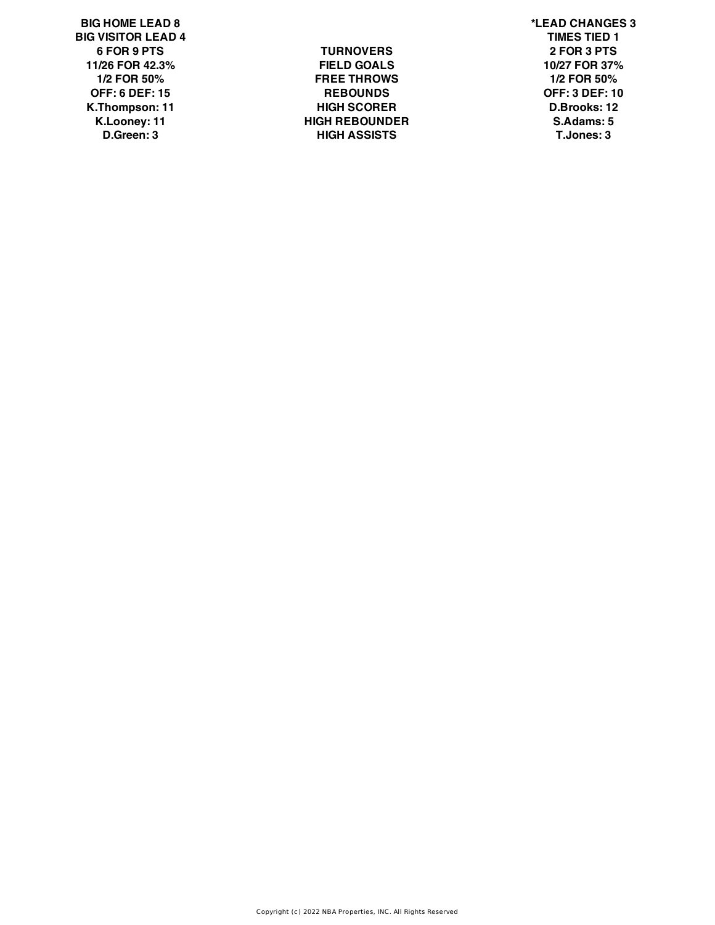**BIG HOME LEAD 8 \*LEAD CHANGES 3 BIG VISITOR LEAD 4 TIMES TIED 1**

**6 FOR 9 PTS TURNOVERS 2 FOR 3 PTS 11/26 FOR 42.3% FIELD GOALS 10/27 FOR 37% 1/2 FOR 50% FREE THROWS 1/2 FOR 50% OFF: 6 DEF: 15 REBOUNDS OFF: 3 DEF: 10 K.Thompson: 11 HIGH SCORER D.Brooks: 12 K.Looney: 11 HIGH REBOUNDER S.Adams: 5 D.Green: 3 HIGH ASSISTS T.Jones: 3**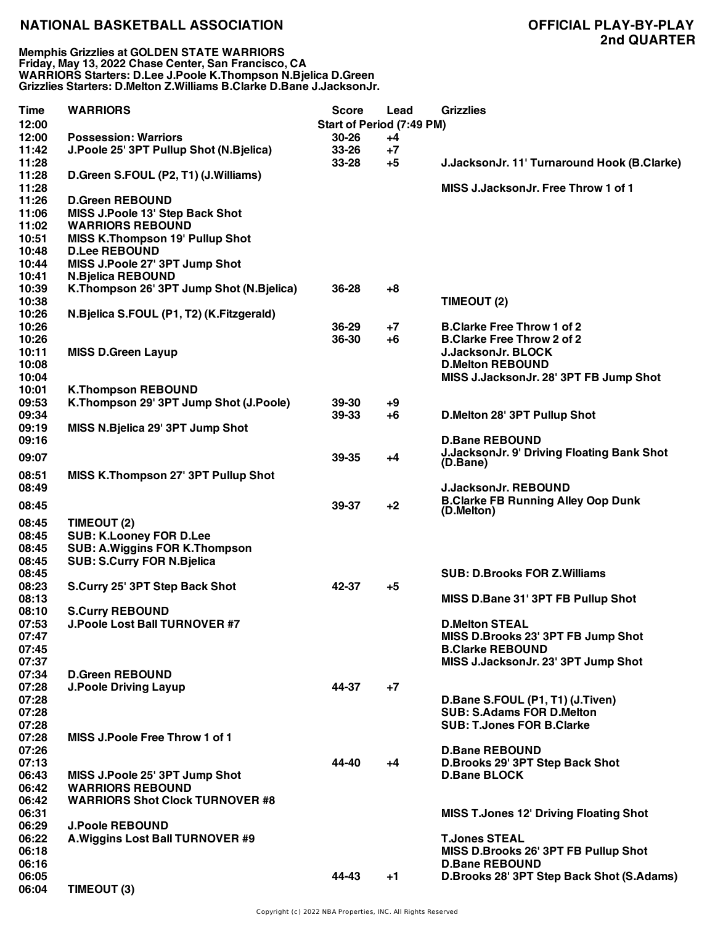**Memphis Grizzlies at GOLDEN STATE WARRIORS Friday, May 13, 2022 Chase Center, San Francisco, CA WARRIORS Starters: D.Lee J.Poole K.Thompson N.Bjelica D.Green Grizzlies Starters: D.Melton Z.Williams B.Clarke D.Bane J.JacksonJr.**

| <b>Time</b><br>12:00 | <b>WARRIORS</b>                          | <b>Score</b><br>Start of Period (7:49 PM) | Lead | <b>Grizzlies</b>                                        |
|----------------------|------------------------------------------|-------------------------------------------|------|---------------------------------------------------------|
| 12:00                | <b>Possession: Warriors</b>              | 30-26                                     | +4   |                                                         |
| 11:42                | J.Poole 25' 3PT Pullup Shot (N.Bjelica)  | $33 - 26$                                 | $+7$ |                                                         |
| 11:28                |                                          | 33-28                                     | $+5$ | J.JacksonJr. 11' Turnaround Hook (B.Clarke)             |
| 11:28                | D.Green S.FOUL (P2, T1) (J.Williams)     |                                           |      |                                                         |
| 11:28                |                                          |                                           |      | MISS J.JacksonJr. Free Throw 1 of 1                     |
| 11:26                | <b>D.Green REBOUND</b>                   |                                           |      |                                                         |
| 11:06                | MISS J.Poole 13' Step Back Shot          |                                           |      |                                                         |
| 11:02                | <b>WARRIORS REBOUND</b>                  |                                           |      |                                                         |
| 10:51                | <b>MISS K.Thompson 19' Pullup Shot</b>   |                                           |      |                                                         |
| 10:48                | <b>D.Lee REBOUND</b>                     |                                           |      |                                                         |
| 10:44                | MISS J.Poole 27' 3PT Jump Shot           |                                           |      |                                                         |
| 10:41                | <b>N.Bjelica REBOUND</b>                 |                                           |      |                                                         |
| 10:39                | K.Thompson 26' 3PT Jump Shot (N.Bjelica) | 36-28                                     | $+8$ |                                                         |
| 10:38                |                                          |                                           |      | TIMEOUT (2)                                             |
| 10:26                | N.Bjelica S.FOUL (P1, T2) (K.Fitzgerald) |                                           |      |                                                         |
| 10:26                |                                          | 36-29                                     | $+7$ | <b>B.Clarke Free Throw 1 of 2</b>                       |
| 10:26                |                                          | 36-30                                     | $+6$ | <b>B.Clarke Free Throw 2 of 2</b>                       |
| 10:11                | <b>MISS D.Green Layup</b>                |                                           |      | <b>J.JacksonJr. BLOCK</b>                               |
| 10:08                |                                          |                                           |      | <b>D.Melton REBOUND</b>                                 |
| 10:04                |                                          |                                           |      | MISS J.JacksonJr. 28' 3PT FB Jump Shot                  |
| 10:01                | <b>K.Thompson REBOUND</b>                |                                           |      |                                                         |
| 09:53                | K.Thompson 29' 3PT Jump Shot (J.Poole)   | 39-30                                     | $+9$ |                                                         |
| 09:34                |                                          | 39-33                                     | $+6$ | D.Melton 28' 3PT Pullup Shot                            |
| 09:19                | MISS N.Bjelica 29' 3PT Jump Shot         |                                           |      |                                                         |
| 09:16                |                                          |                                           |      | <b>D.Bane REBOUND</b>                                   |
|                      |                                          |                                           |      | <b>J.JacksonJr. 9' Driving Floating Bank Shot</b>       |
| 09:07                |                                          | 39-35                                     | +4   | (D.Bane)                                                |
| 08:51                | MISS K.Thompson 27' 3PT Pullup Shot      |                                           |      |                                                         |
| 08:49                |                                          |                                           |      | <b>J.JacksonJr. REBOUND</b>                             |
| 08:45                |                                          | 39-37                                     | $+2$ | <b>B.Clarke FB Running Alley Oop Dunk</b><br>(D.Melton) |
| 08:45                | TIMEOUT (2)                              |                                           |      |                                                         |
| 08:45                | <b>SUB: K.Looney FOR D.Lee</b>           |                                           |      |                                                         |
| 08:45                | <b>SUB: A.Wiggins FOR K.Thompson</b>     |                                           |      |                                                         |
| 08:45                | <b>SUB: S.Curry FOR N.Bjelica</b>        |                                           |      |                                                         |
| 08:45                |                                          |                                           |      | <b>SUB: D.Brooks FOR Z.Williams</b>                     |
| 08:23                | S.Curry 25' 3PT Step Back Shot           | 42-37                                     | +5   |                                                         |
| 08:13                |                                          |                                           |      | MISS D.Bane 31' 3PT FB Pullup Shot                      |
| 08:10                | <b>S.Curry REBOUND</b>                   |                                           |      |                                                         |
| 07:53                | J.Poole Lost Ball TURNOVER #7            |                                           |      | <b>D.Melton STEAL</b>                                   |
| 07:47                |                                          |                                           |      | MISS D.Brooks 23' 3PT FB Jump Shot                      |
| 07:45                |                                          |                                           |      | <b>B.Clarke REBOUND</b>                                 |
| 07:37                |                                          |                                           |      | MISS J.JacksonJr. 23' 3PT Jump Shot                     |
| 07:34                | <b>D.Green REBOUND</b>                   |                                           |      |                                                         |
| 07:28                | <b>J.Poole Driving Layup</b>             | 44-37                                     | $+7$ |                                                         |
| 07:28                |                                          |                                           |      | D.Bane S.FOUL (P1, T1) (J.Tiven)                        |
| 07:28                |                                          |                                           |      | <b>SUB: S.Adams FOR D.Melton</b>                        |
| 07:28                |                                          |                                           |      | <b>SUB: T.Jones FOR B.Clarke</b>                        |
| 07:28                | <b>MISS J.Poole Free Throw 1 of 1</b>    |                                           |      |                                                         |
| 07:26                |                                          |                                           |      | <b>D.Bane REBOUND</b>                                   |
| 07:13                |                                          | 44-40                                     | +4   | D.Brooks 29' 3PT Step Back Shot                         |
| 06:43                | MISS J.Poole 25' 3PT Jump Shot           |                                           |      | <b>D.Bane BLOCK</b>                                     |
| 06:42                | <b>WARRIORS REBOUND</b>                  |                                           |      |                                                         |
| 06:42                | <b>WARRIORS Shot Clock TURNOVER #8</b>   |                                           |      |                                                         |
| 06:31                |                                          |                                           |      | <b>MISS T.Jones 12' Driving Floating Shot</b>           |
| 06:29                | <b>J.Poole REBOUND</b>                   |                                           |      |                                                         |
| 06:22                | A. Wiggins Lost Ball TURNOVER #9         |                                           |      | <b>T.Jones STEAL</b>                                    |
| 06:18                |                                          |                                           |      | MISS D.Brooks 26' 3PT FB Pullup Shot                    |
| 06:16                |                                          |                                           |      | <b>D.Bane REBOUND</b>                                   |
| 06:05                |                                          | 44-43                                     | +1   | D.Brooks 28' 3PT Step Back Shot (S.Adams)               |
| 06:04                | TIMEOUT (3)                              |                                           |      |                                                         |
|                      |                                          |                                           |      |                                                         |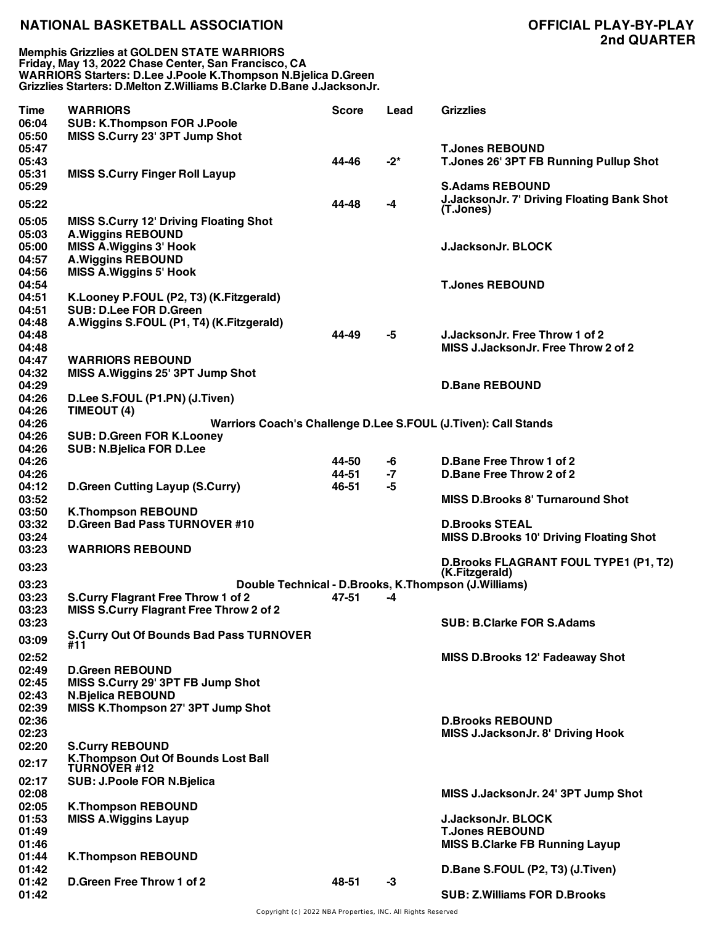**Memphis Grizzlies at GOLDEN STATE WARRIORS Friday, May 13, 2022 Chase Center, San Francisco, CA WARRIORS Starters: D.Lee J.Poole K.Thompson N.Bjelica D.Green Grizzlies Starters: D.Melton Z.Williams B.Clarke D.Bane J.JacksonJr.**

| Time           | <b>WARRIORS</b>                                                                             | Score          | Lead       | <b>Grizzlies</b>                                                    |
|----------------|---------------------------------------------------------------------------------------------|----------------|------------|---------------------------------------------------------------------|
| 06:04          | <b>SUB: K.Thompson FOR J.Poole</b>                                                          |                |            |                                                                     |
| 05:50          | MISS S.Curry 23' 3PT Jump Shot                                                              |                |            |                                                                     |
| 05:47          |                                                                                             |                |            | <b>T.Jones REBOUND</b>                                              |
| 05:43          |                                                                                             | 44-46          | $-2^{*}$   | T.Jones 26' 3PT FB Running Pullup Shot                              |
| 05:31<br>05:29 | <b>MISS S.Curry Finger Roll Layup</b>                                                       |                |            | <b>S.Adams REBOUND</b>                                              |
|                |                                                                                             |                |            | <b>J.JacksonJr. 7' Driving Floating Bank Shot</b>                   |
| 05:22          |                                                                                             | 44-48          | $-4$       | (T.Jones)                                                           |
| 05:05          | <b>MISS S.Curry 12' Driving Floating Shot</b>                                               |                |            |                                                                     |
| 05:03          | <b>A.Wiggins REBOUND</b>                                                                    |                |            |                                                                     |
| 05:00          | <b>MISS A. Wiggins 3' Hook</b>                                                              |                |            | <b>J.JacksonJr. BLOCK</b>                                           |
| 04:57          | <b>A.Wiggins REBOUND</b>                                                                    |                |            |                                                                     |
| 04:56<br>04:54 | <b>MISS A. Wiggins 5' Hook</b>                                                              |                |            | <b>T.Jones REBOUND</b>                                              |
| 04:51          | K.Looney P.FOUL (P2, T3) (K.Fitzgerald)                                                     |                |            |                                                                     |
| 04:51          | <b>SUB: D.Lee FOR D.Green</b>                                                               |                |            |                                                                     |
| 04:48          | A. Wiggins S.FOUL (P1, T4) (K. Fitzgerald)                                                  |                |            |                                                                     |
| 04:48          |                                                                                             | 44-49          | -5         | J. Jackson Jr. Free Throw 1 of 2                                    |
| 04:48          |                                                                                             |                |            | MISS J.JacksonJr. Free Throw 2 of 2                                 |
| 04:47          | <b>WARRIORS REBOUND</b>                                                                     |                |            |                                                                     |
| 04:32          | MISS A. Wiggins 25' 3PT Jump Shot                                                           |                |            |                                                                     |
| 04:29          |                                                                                             |                |            | <b>D.Bane REBOUND</b>                                               |
| 04:26          | D.Lee S.FOUL (P1.PN) (J.Tiven)                                                              |                |            |                                                                     |
| 04:26          | TIMEOUT (4)                                                                                 |                |            |                                                                     |
| 04:26          | Warriors Coach's Challenge D.Lee S.FOUL (J.Tiven): Call Stands                              |                |            |                                                                     |
| 04:26          | <b>SUB: D.Green FOR K.Looney</b>                                                            |                |            |                                                                     |
| 04:26          | <b>SUB: N.Bjelica FOR D.Lee</b>                                                             |                |            |                                                                     |
| 04:26<br>04:26 |                                                                                             | 44-50<br>44-51 | -6<br>$-7$ | D.Bane Free Throw 1 of 2<br>D.Bane Free Throw 2 of 2                |
| 04:12          | <b>D.Green Cutting Layup (S.Curry)</b>                                                      | 46-51          | -5         |                                                                     |
| 03:52          |                                                                                             |                |            | <b>MISS D.Brooks 8' Turnaround Shot</b>                             |
| 03:50          | <b>K.Thompson REBOUND</b>                                                                   |                |            |                                                                     |
| 03:32          | <b>D.Green Bad Pass TURNOVER #10</b>                                                        |                |            | <b>D.Brooks STEAL</b>                                               |
| 03:24          |                                                                                             |                |            | <b>MISS D.Brooks 10' Driving Floating Shot</b>                      |
| 03:23          | <b>WARRIORS REBOUND</b>                                                                     |                |            |                                                                     |
| 03:23          |                                                                                             |                |            | <b>D.Brooks FLAGRANT FOUL TYPE1 (P1, T2)</b>                        |
|                |                                                                                             |                |            | (K.Fitzgerald)                                                      |
| 03:23<br>03:23 | Double Technical - D.Brooks, K.Thompson (J.Williams)                                        | 47-51          | -4         |                                                                     |
| 03:23          | <b>S.Curry Flagrant Free Throw 1 of 2</b><br><b>MISS S.Curry Flagrant Free Throw 2 of 2</b> |                |            |                                                                     |
| 03:23          |                                                                                             |                |            | <b>SUB: B.Clarke FOR S.Adams</b>                                    |
|                | <b>S.Curry Out Of Bounds Bad Pass TURNOVER</b>                                              |                |            |                                                                     |
| 03:09          | #11                                                                                         |                |            |                                                                     |
| 02:52          |                                                                                             |                |            | MISS D.Brooks 12' Fadeaway Shot                                     |
| 02:49          | <b>D.Green REBOUND</b>                                                                      |                |            |                                                                     |
| 02:45          | MISS S.Curry 29' 3PT FB Jump Shot                                                           |                |            |                                                                     |
| 02:43          | <b>N.Bjelica REBOUND</b>                                                                    |                |            |                                                                     |
| 02:39          | MISS K.Thompson 27' 3PT Jump Shot                                                           |                |            |                                                                     |
| 02:36<br>02:23 |                                                                                             |                |            | <b>D.Brooks REBOUND</b><br><b>MISS J.JacksonJr. 8' Driving Hook</b> |
| 02:20          | <b>S.Curry REBOUND</b>                                                                      |                |            |                                                                     |
|                | K.Thompson Out Of Bounds Lost Ball                                                          |                |            |                                                                     |
| 02:17          | <b>TURNOVER #12</b>                                                                         |                |            |                                                                     |
| 02:17          | <b>SUB: J.Poole FOR N.Bjelica</b>                                                           |                |            |                                                                     |
| 02:08          |                                                                                             |                |            | MISS J.JacksonJr. 24' 3PT Jump Shot                                 |
| 02:05          | <b>K.Thompson REBOUND</b>                                                                   |                |            |                                                                     |
| 01:53          | <b>MISS A. Wiggins Layup</b>                                                                |                |            | J.JacksonJr. BLOCK                                                  |
| 01:49          |                                                                                             |                |            | <b>T.Jones REBOUND</b>                                              |
| 01:46          |                                                                                             |                |            | <b>MISS B.Clarke FB Running Layup</b>                               |
| 01:44<br>01:42 | <b>K.Thompson REBOUND</b>                                                                   |                |            | D.Bane S.FOUL (P2, T3) (J.Tiven)                                    |
| 01:42          | D.Green Free Throw 1 of 2                                                                   | 48-51          | -3         |                                                                     |
| 01:42          |                                                                                             |                |            | <b>SUB: Z.Williams FOR D.Brooks</b>                                 |
|                |                                                                                             |                |            |                                                                     |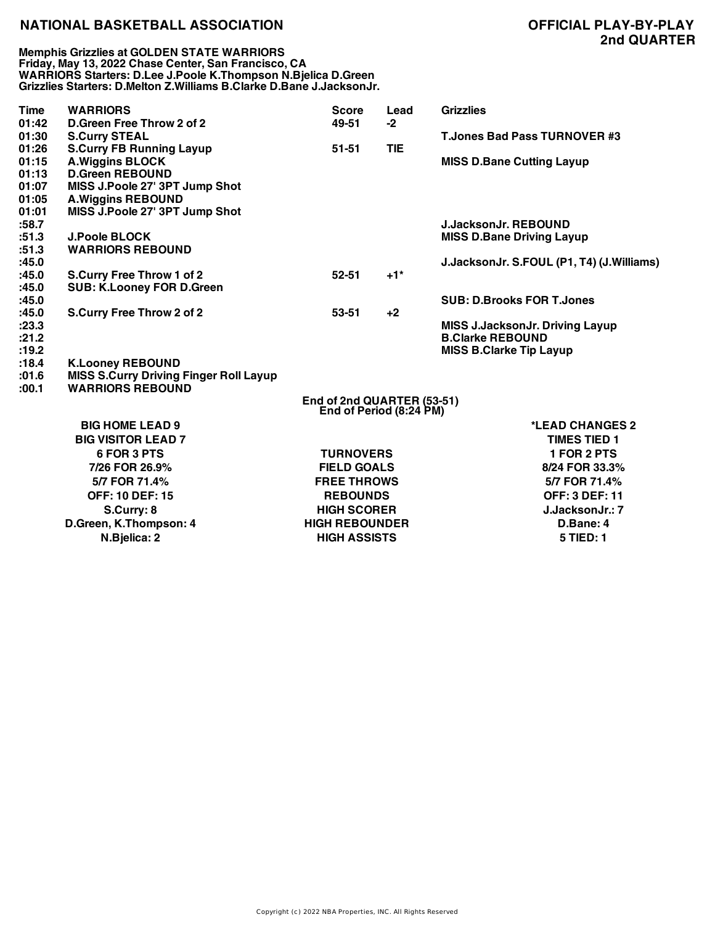**Memphis Grizzlies at GOLDEN STATE WARRIORS Friday, May 13, 2022 Chase Center, San Francisco, CA WARRIORS Starters: D.Lee J.Poole K.Thompson N.Bjelica D.Green Grizzlies Starters: D.Melton Z.Williams B.Clarke D.Bane J.JacksonJr.**

| <b>Time</b>                       | <b>WARRIORS</b>                                                                                                       | <b>Score</b>                                                                                          | Lead       | <b>Grizzlies</b>                                                                                    |  |  |
|-----------------------------------|-----------------------------------------------------------------------------------------------------------------------|-------------------------------------------------------------------------------------------------------|------------|-----------------------------------------------------------------------------------------------------|--|--|
| 01:42<br>01:30                    | D.Green Free Throw 2 of 2<br><b>S.Curry STEAL</b>                                                                     | 49-51                                                                                                 | $-2$       | <b>T.Jones Bad Pass TURNOVER #3</b>                                                                 |  |  |
| 01:26<br>01:15<br>01:13<br>01:07  | <b>S.Curry FB Running Layup</b><br><b>A.Wiggins BLOCK</b><br><b>D.Green REBOUND</b><br>MISS J.Poole 27' 3PT Jump Shot | $51 - 51$                                                                                             | <b>TIE</b> | <b>MISS D.Bane Cutting Layup</b>                                                                    |  |  |
| 01:05<br>01:01<br>:58.7<br>:51.3  | <b>A.Wiggins REBOUND</b><br>MISS J.Poole 27' 3PT Jump Shot<br><b>J.Poole BLOCK</b>                                    |                                                                                                       |            | <b>J.JacksonJr. REBOUND</b><br><b>MISS D.Bane Driving Layup</b>                                     |  |  |
| :51.3<br>:45.0                    | <b>WARRIORS REBOUND</b>                                                                                               |                                                                                                       |            | J.JacksonJr. S.FOUL (P1, T4) (J.Williams)                                                           |  |  |
| :45.0<br>:45.0                    | <b>S.Curry Free Throw 1 of 2</b><br><b>SUB: K.Looney FOR D.Green</b>                                                  | $52 - 51$                                                                                             | $+1*$      |                                                                                                     |  |  |
| :45.0                             |                                                                                                                       |                                                                                                       |            | <b>SUB: D.Brooks FOR T.Jones</b>                                                                    |  |  |
| :45.0<br>: 23.3<br>:21.2<br>:19.2 | S.Curry Free Throw 2 of 2                                                                                             | $53 - 51$                                                                                             | $+2$       | <b>MISS J.JacksonJr. Driving Layup</b><br><b>B.Clarke REBOUND</b><br><b>MISS B.Clarke Tip Layup</b> |  |  |
| :18.4<br>:01.6<br>:00.1           | <b>K.Looney REBOUND</b><br><b>MISS S.Curry Driving Finger Roll Layup</b><br><b>WARRIORS REBOUND</b>                   |                                                                                                       |            |                                                                                                     |  |  |
|                                   |                                                                                                                       | End of 2nd QUARTER (53-51)<br>End of Period (8:24 PM)                                                 |            |                                                                                                     |  |  |
|                                   | <b>BIG HOME LEAD 9</b><br><b>BIG VISITOR LEAD 7</b>                                                                   |                                                                                                       |            | *LEAD CHANGES 2<br><b>TIMES TIED 1</b>                                                              |  |  |
|                                   | 6 FOR 3 PTS<br>7/26 FOR 26.9%<br>5/7 FOR 71.4%                                                                        | <b>TURNOVERS</b><br><b>FIELD GOALS</b><br><b>FREE THROWS</b><br><b>REBOUNDS</b><br><b>HIGH SCORER</b> |            | 1 FOR 2 PTS<br>8/24 FOR 33.3%<br>5/7 FOR 71.4%                                                      |  |  |
|                                   | <b>OFF: 10 DEF: 15</b><br>S.Curry: 8                                                                                  |                                                                                                       |            | <b>OFF: 3 DEF: 11</b><br>J.JacksonJr.: 7                                                            |  |  |
|                                   | D.Green, K.Thompson: 4<br>N.Bjelica: 2                                                                                | <b>HIGH REBOUNDER</b><br><b>HIGH ASSISTS</b>                                                          |            | D.Bane: 4<br>5 TIED: 1                                                                              |  |  |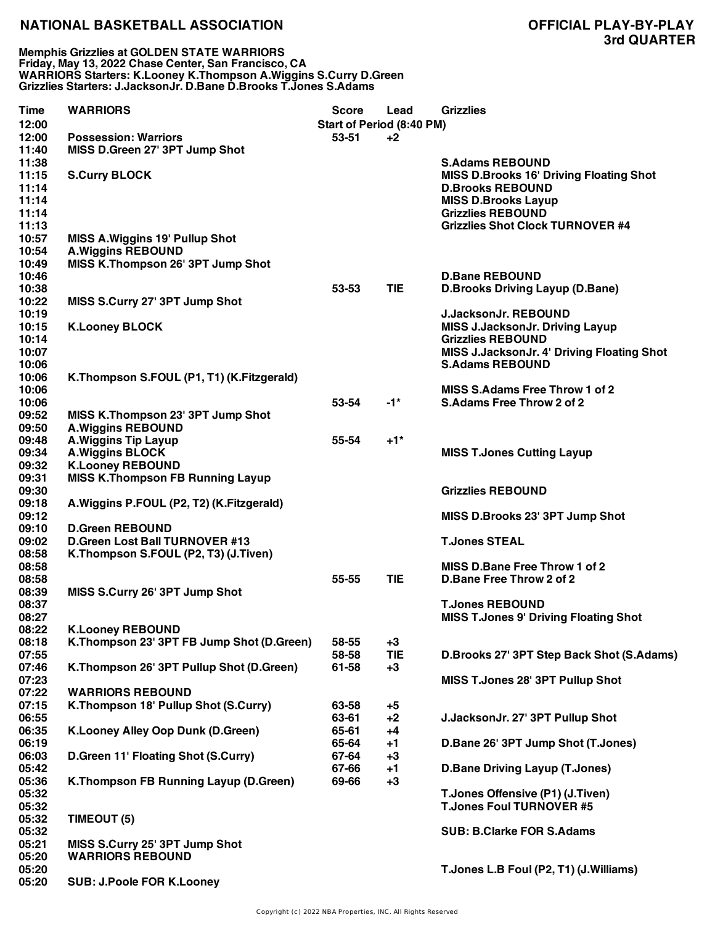**Memphis Grizzlies at GOLDEN STATE WARRIORS Friday, May 13, 2022 Chase Center, San Francisco, CA WARRIORS Starters: K.Looney K.Thompson A.Wiggins S.Curry D.Green Grizzlies Starters: J.JacksonJr. D.Bane D.Brooks T.Jones S.Adams**

| Time  | <b>WARRIORS</b>                              | <b>Score</b>              | Lead       | <b>Grizzlies</b>                               |
|-------|----------------------------------------------|---------------------------|------------|------------------------------------------------|
| 12:00 |                                              | Start of Period (8:40 PM) |            |                                                |
| 12:00 | <b>Possession: Warriors</b>                  | 53-51                     | +2         |                                                |
| 11:40 | MISS D.Green 27' 3PT Jump Shot               |                           |            |                                                |
| 11:38 |                                              |                           |            | <b>S.Adams REBOUND</b>                         |
| 11:15 | <b>S.Curry BLOCK</b>                         |                           |            | <b>MISS D.Brooks 16' Driving Floating Shot</b> |
| 11:14 |                                              |                           |            | <b>D.Brooks REBOUND</b>                        |
| 11:14 |                                              |                           |            | <b>MISS D.Brooks Layup</b>                     |
| 11:14 |                                              |                           |            | <b>Grizzlies REBOUND</b>                       |
| 11:13 |                                              |                           |            | <b>Grizzlies Shot Clock TURNOVER #4</b>        |
| 10:57 | <b>MISS A. Wiggins 19' Pullup Shot</b>       |                           |            |                                                |
| 10:54 | <b>A.Wiggins REBOUND</b>                     |                           |            |                                                |
| 10:49 | MISS K.Thompson 26' 3PT Jump Shot            |                           |            |                                                |
| 10:46 |                                              |                           |            | <b>D.Bane REBOUND</b>                          |
| 10:38 |                                              | 53-53                     | <b>TIE</b> | <b>D.Brooks Driving Layup (D.Bane)</b>         |
|       |                                              |                           |            |                                                |
| 10:22 | MISS S.Curry 27' 3PT Jump Shot               |                           |            |                                                |
| 10:19 |                                              |                           |            | <b>J.JacksonJr. REBOUND</b>                    |
| 10:15 | <b>K.Looney BLOCK</b>                        |                           |            | <b>MISS J.JacksonJr. Driving Layup</b>         |
| 10:14 |                                              |                           |            | <b>Grizzlies REBOUND</b>                       |
| 10:07 |                                              |                           |            | MISS J.JacksonJr. 4' Driving Floating Shot     |
| 10:06 |                                              |                           |            | <b>S.Adams REBOUND</b>                         |
| 10:06 | K. Thompson S. FOUL (P1, T1) (K. Fitzgerald) |                           |            |                                                |
| 10:06 |                                              |                           |            | <b>MISS S.Adams Free Throw 1 of 2</b>          |
| 10:06 |                                              | 53-54                     | $-1*$      | <b>S.Adams Free Throw 2 of 2</b>               |
| 09:52 | MISS K.Thompson 23' 3PT Jump Shot            |                           |            |                                                |
| 09:50 | <b>A.Wiggins REBOUND</b>                     |                           |            |                                                |
| 09:48 | <b>A.Wiggins Tip Layup</b>                   | 55-54                     | $+1*$      |                                                |
| 09:34 | <b>A.Wiggins BLOCK</b>                       |                           |            | <b>MISS T.Jones Cutting Layup</b>              |
| 09:32 | <b>K.Looney REBOUND</b>                      |                           |            |                                                |
| 09:31 | <b>MISS K.Thompson FB Running Layup</b>      |                           |            |                                                |
| 09:30 |                                              |                           |            | <b>Grizzlies REBOUND</b>                       |
| 09:18 | A. Wiggins P.FOUL (P2, T2) (K. Fitzgerald)   |                           |            |                                                |
| 09:12 |                                              |                           |            |                                                |
|       | <b>D.Green REBOUND</b>                       |                           |            | MISS D.Brooks 23' 3PT Jump Shot                |
| 09:10 |                                              |                           |            |                                                |
| 09:02 | <b>D.Green Lost Ball TURNOVER #13</b>        |                           |            | <b>T.Jones STEAL</b>                           |
| 08:58 | K.Thompson S.FOUL (P2, T3) (J.Tiven)         |                           |            |                                                |
| 08:58 |                                              |                           |            | MISS D.Bane Free Throw 1 of 2                  |
| 08:58 |                                              | 55-55                     | <b>TIE</b> | D.Bane Free Throw 2 of 2                       |
| 08:39 | MISS S.Curry 26' 3PT Jump Shot               |                           |            |                                                |
| 08:37 |                                              |                           |            | <b>T.Jones REBOUND</b>                         |
| 08:27 |                                              |                           |            | <b>MISS T.Jones 9' Driving Floating Shot</b>   |
| 08:22 | <b>K.Looney REBOUND</b>                      |                           |            |                                                |
| 08:18 | K.Thompson 23' 3PT FB Jump Shot (D.Green)    | 58-55                     | $+3$       |                                                |
| 07:55 |                                              | 58-58                     | <b>TIE</b> | D.Brooks 27' 3PT Step Back Shot (S.Adams)      |
| 07:46 | K.Thompson 26' 3PT Pullup Shot (D.Green)     | 61-58                     | $+3$       |                                                |
| 07:23 |                                              |                           |            | MISS T.Jones 28' 3PT Pullup Shot               |
| 07:22 | <b>WARRIORS REBOUND</b>                      |                           |            |                                                |
| 07:15 | K.Thompson 18' Pullup Shot (S.Curry)         | 63-58                     | $+5$       |                                                |
| 06:55 |                                              | 63-61                     | $+2$       | J.JacksonJr. 27' 3PT Pullup Shot               |
| 06:35 | K.Looney Alley Oop Dunk (D.Green)            | 65-61                     | $+4$       |                                                |
| 06:19 |                                              | 65-64                     | $+1$       | D.Bane 26' 3PT Jump Shot (T.Jones)             |
| 06:03 | D.Green 11' Floating Shot (S.Curry)          | 67-64                     | $+3$       |                                                |
| 05:42 |                                              | 67-66                     | $+1$       | <b>D.Bane Driving Layup (T.Jones)</b>          |
| 05:36 |                                              |                           |            |                                                |
|       | K.Thompson FB Running Layup (D.Green)        | 69-66                     | $+3$       |                                                |
| 05:32 |                                              |                           |            | T.Jones Offensive (P1) (J.Tiven)               |
| 05:32 |                                              |                           |            | <b>T.Jones Foul TURNOVER #5</b>                |
| 05:32 | TIMEOUT (5)                                  |                           |            |                                                |
| 05:32 |                                              |                           |            | <b>SUB: B.Clarke FOR S.Adams</b>               |
| 05:21 | MISS S.Curry 25' 3PT Jump Shot               |                           |            |                                                |
| 05:20 | <b>WARRIORS REBOUND</b>                      |                           |            |                                                |
| 05:20 |                                              |                           |            | T.Jones L.B Foul (P2, T1) (J.Williams)         |
| 05:20 | <b>SUB: J.Poole FOR K.Looney</b>             |                           |            |                                                |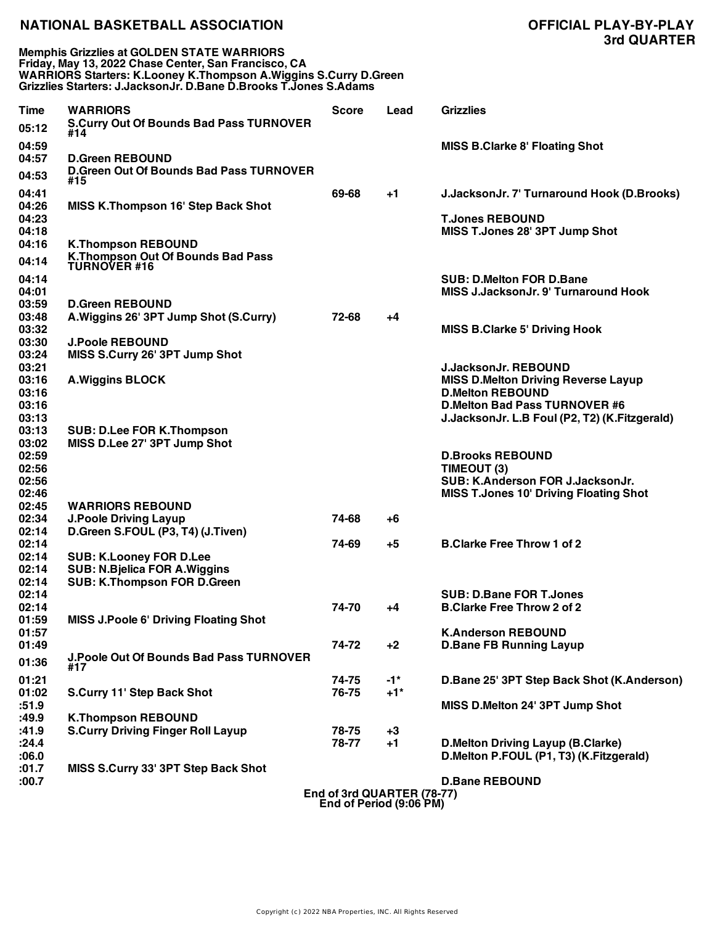**Memphis Grizzlies at GOLDEN STATE WARRIORS Friday, May 13, 2022 Chase Center, San Francisco, CA WARRIORS Starters: K.Looney K.Thompson A.Wiggins S.Curry D.Green Grizzlies Starters: J.JacksonJr. D.Bane D.Brooks T.Jones S.Adams**

| Time           | <b>WARRIORS</b>                                                           | <b>Score</b> | Lead                               | <b>Grizzlies</b>                                |
|----------------|---------------------------------------------------------------------------|--------------|------------------------------------|-------------------------------------------------|
| 05:12          | <b>S.Curry Out Of Bounds Bad Pass TURNOVER</b><br>#14                     |              |                                    |                                                 |
| 04:59          |                                                                           |              |                                    | <b>MISS B.Clarke 8' Floating Shot</b>           |
| 04:57          | <b>D.Green REBOUND</b>                                                    |              |                                    |                                                 |
| 04:53          | <b>D.Green Out Of Bounds Bad Pass TURNOVER</b><br>#15                     |              |                                    |                                                 |
| 04:41          |                                                                           | 69-68        | $+1$                               | J.JacksonJr. 7' Turnaround Hook (D.Brooks)      |
| 04:26          | <b>MISS K.Thompson 16' Step Back Shot</b>                                 |              |                                    |                                                 |
| 04:23          |                                                                           |              |                                    | <b>T.Jones REBOUND</b>                          |
| 04:18          |                                                                           |              |                                    | MISS T.Jones 28' 3PT Jump Shot                  |
| 04:16          | <b>K.Thompson REBOUND</b>                                                 |              |                                    |                                                 |
| 04:14          | <b>K.Thompson Out Of Bounds Bad Pass</b><br><b>TURNOVER #16</b>           |              |                                    |                                                 |
| 04:14          |                                                                           |              |                                    | <b>SUB: D.Melton FOR D.Bane</b>                 |
| 04:01          |                                                                           |              |                                    | <b>MISS J.JacksonJr. 9' Turnaround Hook</b>     |
| 03:59          | <b>D.Green REBOUND</b>                                                    |              |                                    |                                                 |
| 03:48          | A. Wiggins 26' 3PT Jump Shot (S. Curry)                                   | 72-68        | +4                                 |                                                 |
| 03:32          |                                                                           |              |                                    | <b>MISS B.Clarke 5' Driving Hook</b>            |
| 03:30          | <b>J.Poole REBOUND</b>                                                    |              |                                    |                                                 |
| 03:24<br>03:21 | MISS S.Curry 26' 3PT Jump Shot                                            |              |                                    | <b>J.JacksonJr. REBOUND</b>                     |
| 03:16          | <b>A.Wiggins BLOCK</b>                                                    |              |                                    | <b>MISS D.Melton Driving Reverse Layup</b>      |
| 03:16          |                                                                           |              |                                    | <b>D.Melton REBOUND</b>                         |
| 03:16          |                                                                           |              |                                    | <b>D.Melton Bad Pass TURNOVER #6</b>            |
| 03:13          |                                                                           |              |                                    | J.JacksonJr. L.B Foul (P2, T2) (K.Fitzgerald)   |
| 03:13          | <b>SUB: D.Lee FOR K.Thompson</b>                                          |              |                                    |                                                 |
| 03:02          | MISS D.Lee 27' 3PT Jump Shot                                              |              |                                    |                                                 |
| 02:59          |                                                                           |              |                                    | <b>D.Brooks REBOUND</b>                         |
| 02:56<br>02:56 |                                                                           |              |                                    | TIMEOUT (3)<br>SUB: K.Anderson FOR J.JacksonJr. |
| 02:46          |                                                                           |              |                                    | <b>MISS T.Jones 10' Driving Floating Shot</b>   |
| 02:45          | <b>WARRIORS REBOUND</b>                                                   |              |                                    |                                                 |
| 02:34          | <b>J.Poole Driving Layup</b>                                              | 74-68        | +6                                 |                                                 |
| 02:14          | D.Green S.FOUL (P3, T4) (J.Tiven)                                         |              |                                    |                                                 |
| 02:14          |                                                                           | 74-69        | $+5$                               | <b>B.Clarke Free Throw 1 of 2</b>               |
| 02:14          | <b>SUB: K.Looney FOR D.Lee</b>                                            |              |                                    |                                                 |
| 02:14<br>02:14 | <b>SUB: N.Bjelica FOR A.Wiggins</b><br><b>SUB: K.Thompson FOR D.Green</b> |              |                                    |                                                 |
| 02:14          |                                                                           |              |                                    | <b>SUB: D.Bane FOR T.Jones</b>                  |
| 02:14          |                                                                           | 74-70        | +4                                 | <b>B.Clarke Free Throw 2 of 2</b>               |
| 01:59          | <b>MISS J.Poole 6' Driving Floating Shot</b>                              |              |                                    |                                                 |
| 01:57          |                                                                           |              |                                    | <b>K.Anderson REBOUND</b>                       |
| 01:49          |                                                                           | 74-72        | $+2$                               | <b>D.Bane FB Running Layup</b>                  |
| 01:36          | <b>J.Poole Out Of Bounds Bad Pass TURNOVER</b><br>#17                     |              |                                    |                                                 |
| 01:21          |                                                                           | 74-75        | $-1*$                              | D.Bane 25' 3PT Step Back Shot (K.Anderson)      |
| 01:02          | S.Curry 11' Step Back Shot                                                | 76-75        | $+1*$                              |                                                 |
| :51.9          |                                                                           |              |                                    | MISS D.Melton 24' 3PT Jump Shot                 |
| :49.9          | <b>K.Thompson REBOUND</b>                                                 |              |                                    |                                                 |
| :41.9          | <b>S.Curry Driving Finger Roll Layup</b>                                  | 78-75        | $+3$                               |                                                 |
| :24.4          |                                                                           | 78-77        | $+1$                               | <b>D.Melton Driving Layup (B.Clarke)</b>        |
| 0.80:          |                                                                           |              |                                    | D.Melton P.FOUL (P1, T3) (K.Fitzgerald)         |
| :01.7<br>:00.7 | MISS S.Curry 33' 3PT Step Back Shot                                       |              |                                    | <b>D.Bane REBOUND</b>                           |
|                |                                                                           |              | $Endof$ $Ord$ $OII$ $DTED$ (70 77) |                                                 |

**End of 3rd QUARTER (78-77) End of Period (9:06 PM)**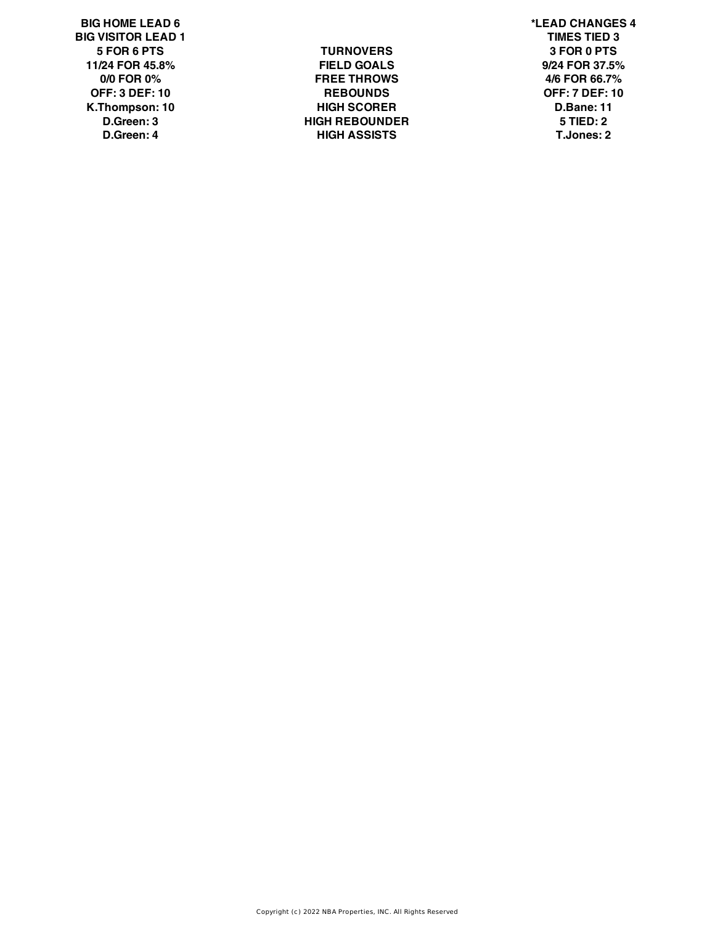**BIG HOME LEAD 6 \*LEAD CHANGES 4 BIG VISITOR LEAD 1 TIMES TIED 3**

**5 FOR 6 PTS TURNOVERS 3 FOR 0 PTS 11/24 FOR 45.8% FIELD GOALS 9/24 FOR 37.5% 0/0 FOR 0% FREE THROWS 4/6 FOR 66.7% OFF: 3 DEF: 10 REBOUNDS OFF: 7 DEF: 10 K.Thompson: 10 HIGH SCORER D.Bane: 11 D.Green: 3 HIGH REBOUNDER 5 TIED: 2 D.Green: 4 HIGH ASSISTS T.Jones: 2**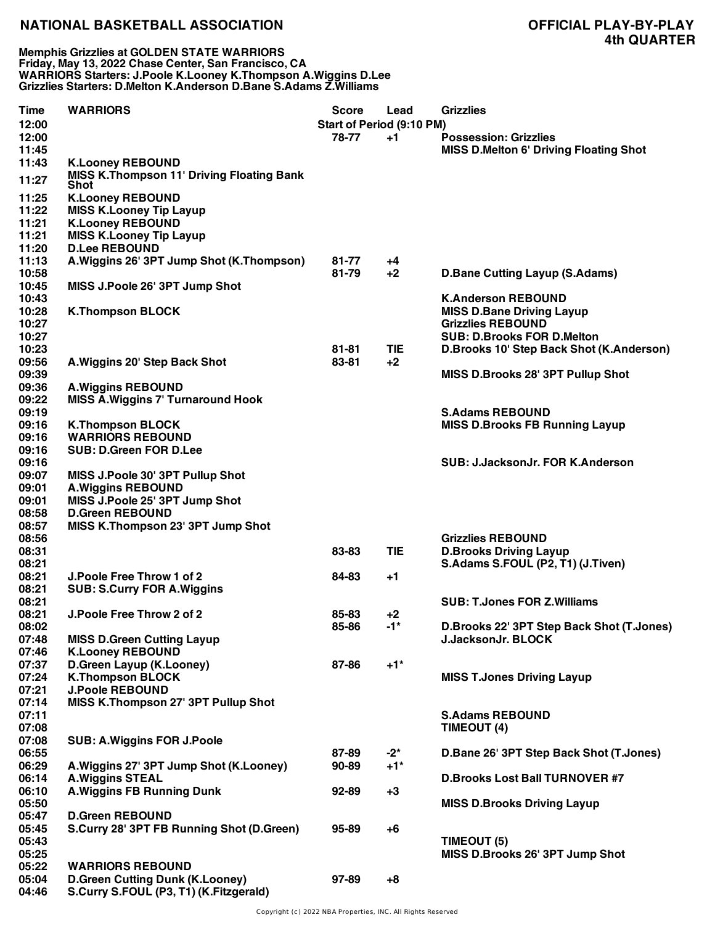**Memphis Grizzlies at GOLDEN STATE WARRIORS Friday, May 13, 2022 Chase Center, San Francisco, CA WARRIORS Starters: J.Poole K.Looney K.Thompson A.Wiggins D.Lee Grizzlies Starters: D.Melton K.Anderson D.Bane S.Adams Z.Williams**

| <b>Time</b> | <b>WARRIORS</b>                                                 | Score     | Lead                      | <b>Grizzlies</b>                              |
|-------------|-----------------------------------------------------------------|-----------|---------------------------|-----------------------------------------------|
| 12:00       |                                                                 |           | Start of Period (9:10 PM) |                                               |
| 12:00       |                                                                 | 78-77     | $+1$                      | <b>Possession: Grizzlies</b>                  |
| 11:45       |                                                                 |           |                           | <b>MISS D.Melton 6' Driving Floating Shot</b> |
| 11:43       | <b>K.Looney REBOUND</b>                                         |           |                           |                                               |
| 11:27       | <b>MISS K.Thompson 11' Driving Floating Bank</b><br><b>Shot</b> |           |                           |                                               |
| 11:25       | <b>K.Looney REBOUND</b>                                         |           |                           |                                               |
| 11:22       | <b>MISS K.Looney Tip Layup</b>                                  |           |                           |                                               |
| 11:21       | <b>K.Looney REBOUND</b>                                         |           |                           |                                               |
| 11:21       | <b>MISS K.Looney Tip Layup</b>                                  |           |                           |                                               |
| 11:20       | <b>D.Lee REBOUND</b>                                            |           |                           |                                               |
| 11:13       | A. Wiggins 26' 3PT Jump Shot (K. Thompson)                      | 81-77     | $+4$                      |                                               |
| 10:58       |                                                                 | 81-79     | $+2$                      | <b>D.Bane Cutting Layup (S.Adams)</b>         |
| 10:45       | MISS J.Poole 26' 3PT Jump Shot                                  |           |                           |                                               |
| 10:43       |                                                                 |           |                           | <b>K.Anderson REBOUND</b>                     |
| 10:28       | <b>K.Thompson BLOCK</b>                                         |           |                           | <b>MISS D.Bane Driving Layup</b>              |
| 10:27       |                                                                 |           |                           | <b>Grizzlies REBOUND</b>                      |
| 10:27       |                                                                 |           |                           | <b>SUB: D.Brooks FOR D.Melton</b>             |
| 10:23       |                                                                 | 81-81     | <b>TIE</b>                | D.Brooks 10' Step Back Shot (K.Anderson)      |
| 09:56       | A. Wiggins 20' Step Back Shot                                   | 83-81     | $+2$                      |                                               |
| 09:39       |                                                                 |           |                           | MISS D.Brooks 28' 3PT Pullup Shot             |
| 09:36       | <b>A.Wiggins REBOUND</b>                                        |           |                           |                                               |
| 09:22       | <b>MISS A. Wiggins 7' Turnaround Hook</b>                       |           |                           |                                               |
| 09:19       |                                                                 |           |                           | <b>S.Adams REBOUND</b>                        |
| 09:16       | <b>K.Thompson BLOCK</b>                                         |           |                           | <b>MISS D.Brooks FB Running Layup</b>         |
| 09:16       | <b>WARRIORS REBOUND</b>                                         |           |                           |                                               |
| 09:16       | <b>SUB: D.Green FOR D.Lee</b>                                   |           |                           |                                               |
| 09:16       |                                                                 |           |                           | SUB: J.JacksonJr. FOR K.Anderson              |
| 09:07       | MISS J.Poole 30' 3PT Pullup Shot                                |           |                           |                                               |
| 09:01       | <b>A.Wiggins REBOUND</b>                                        |           |                           |                                               |
| 09:01       | MISS J.Poole 25' 3PT Jump Shot                                  |           |                           |                                               |
| 08:58       | <b>D.Green REBOUND</b>                                          |           |                           |                                               |
| 08:57       | MISS K.Thompson 23' 3PT Jump Shot                               |           |                           |                                               |
| 08:56       |                                                                 |           |                           | <b>Grizzlies REBOUND</b>                      |
| 08:31       |                                                                 | 83-83     | <b>TIE</b>                | <b>D.Brooks Driving Layup</b>                 |
| 08:21       |                                                                 |           |                           | S.Adams S.FOUL (P2, T1) (J.Tiven)             |
| 08:21       | J. Poole Free Throw 1 of 2                                      | 84-83     | $+1$                      |                                               |
| 08:21       | <b>SUB: S.Curry FOR A. Wiggins</b>                              |           |                           |                                               |
| 08:21       |                                                                 |           |                           | <b>SUB: T.Jones FOR Z.Williams</b>            |
| 08:21       | J. Poole Free Throw 2 of 2                                      | 85-83     | +2                        |                                               |
| 08:02       |                                                                 | 85-86     | -1*                       | D.Brooks 22' 3PT Step Back Shot (T.Jones)     |
| 07:48       | <b>MISS D.Green Cutting Layup</b>                               |           |                           | <b>J.JacksonJr. BLOCK</b>                     |
| 07:46       | <b>K.Looney REBOUND</b>                                         |           |                           |                                               |
| 07:37       | D.Green Layup (K.Looney)                                        | 87-86     | $+1"$                     |                                               |
| 07:24       | <b>K.Thompson BLOCK</b>                                         |           |                           | <b>MISS T.Jones Driving Layup</b>             |
| 07:21       | <b>J.Poole REBOUND</b>                                          |           |                           |                                               |
| 07:14       | <b>MISS K.Thompson 27' 3PT Pullup Shot</b>                      |           |                           |                                               |
| 07:11       |                                                                 |           |                           | <b>S.Adams REBOUND</b>                        |
| 07:08       |                                                                 |           |                           | TIMEOUT (4)                                   |
| 07:08       |                                                                 |           |                           |                                               |
| 06:55       | <b>SUB: A.Wiggins FOR J.Poole</b>                               | 87-89     | $-2^*$                    | D.Bane 26' 3PT Step Back Shot (T.Jones)       |
|             |                                                                 | $90 - 89$ | $+1*$                     |                                               |
| 06:29       | A. Wiggins 27' 3PT Jump Shot (K. Looney)                        |           |                           |                                               |
| 06:14       | <b>A.Wiggins STEAL</b>                                          |           |                           | <b>D.Brooks Lost Ball TURNOVER #7</b>         |
| 06:10       | <b>A. Wiggins FB Running Dunk</b>                               | $92 - 89$ | $+3$                      |                                               |
| 05:50       |                                                                 |           |                           | <b>MISS D.Brooks Driving Layup</b>            |
| 05:47       | <b>D.Green REBOUND</b>                                          |           |                           |                                               |
| 05:45       | S.Curry 28' 3PT FB Running Shot (D.Green)                       | 95-89     | $+6$                      |                                               |
| 05:43       |                                                                 |           |                           | TIMEOUT (5)                                   |
| 05:25       |                                                                 |           |                           | MISS D.Brooks 26' 3PT Jump Shot               |
| 05:22       | <b>WARRIORS REBOUND</b>                                         |           |                           |                                               |
| 05:04       | <b>D.Green Cutting Dunk (K.Looney)</b>                          | 97-89     | $+8$                      |                                               |
| 04:46       | S.Curry S.FOUL (P3, T1) (K.Fitzgerald)                          |           |                           |                                               |